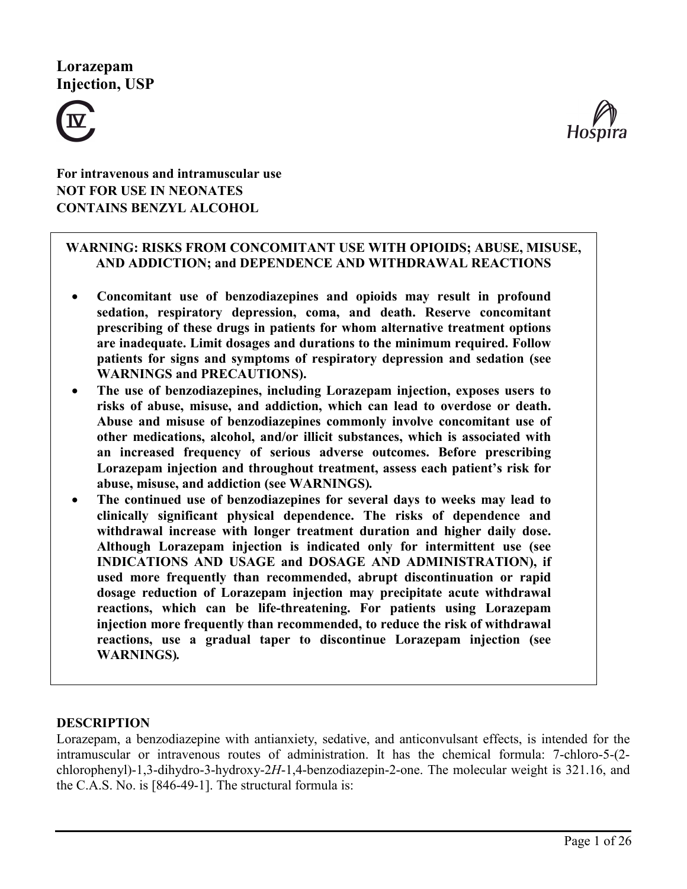# **Lorazepam Injection, USP**





# **For intravenous and intramuscular use NOT FOR USE IN NEONATES CONTAINS BENZYL ALCOHOL**

# **WARNING: RISKS FROM CONCOMITANT USE WITH OPIOIDS; ABUSE, MISUSE, AND ADDICTION; and DEPENDENCE AND WITHDRAWAL REACTIONS**

- **Concomitant use of benzodiazepines and opioids may result in profound sedation, respiratory depression, coma, and death. Reserve concomitant prescribing of these drugs in patients for whom alternative treatment options are inadequate. Limit dosages and durations to the minimum required. Follow patients for signs and symptoms of respiratory depression and sedation (see WARNINGS and PRECAUTIONS).**
- **The use of benzodiazepines, including Lorazepam injection, exposes users to risks of abuse, misuse, and addiction, which can lead to overdose or death. Abuse and misuse of benzodiazepines commonly involve concomitant use of other medications, alcohol, and/or illicit substances, which is associated with an increased frequency of serious adverse outcomes. Before prescribing Lorazepam injection and throughout treatment, assess each patient's risk for abuse, misuse, and addiction (see WARNINGS)***.*
- **The continued use of benzodiazepines for several days to weeks may lead to clinically significant physical dependence. The risks of dependence and withdrawal increase with longer treatment duration and higher daily dose. Although Lorazepam injection is indicated only for intermittent use (see INDICATIONS AND USAGE and DOSAGE AND ADMINISTRATION), if used more frequently than recommended, abrupt discontinuation or rapid dosage reduction of Lorazepam injection may precipitate acute withdrawal reactions, which can be life-threatening. For patients using Lorazepam injection more frequently than recommended, to reduce the risk of withdrawal reactions, use a gradual taper to discontinue Lorazepam injection (see WARNINGS)***.*

# **DESCRIPTION**

Lorazepam, a benzodiazepine with antianxiety, sedative, and anticonvulsant effects, is intended for the intramuscular or intravenous routes of administration. It has the chemical formula: 7-chloro-5-(2 chlorophenyl)-1,3-dihydro-3-hydroxy-2*H*-1,4-benzodiazepin-2-one. The molecular weight is 321.16, and the C.A.S. No. is [846-49-1]. The structural formula is: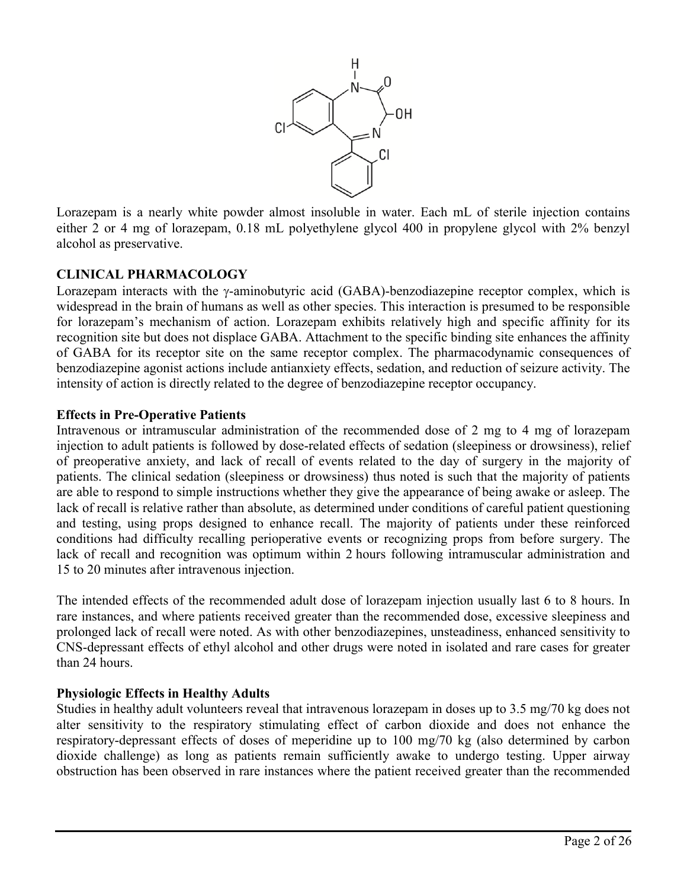

Lorazepam is a nearly white powder almost insoluble in water. Each mL of sterile injection contains either 2 or 4 mg of lorazepam, 0.18 mL polyethylene glycol 400 in propylene glycol with 2% benzyl alcohol as preservative.

# **CLINICAL PHARMACOLOGY**

Lorazepam interacts with the  $\gamma$ -aminobutyric acid (GABA)-benzodiazepine receptor complex, which is widespread in the brain of humans as well as other species. This interaction is presumed to be responsible for lorazepam's mechanism of action. Lorazepam exhibits relatively high and specific affinity for its recognition site but does not displace GABA. Attachment to the specific binding site enhances the affinity of GABA for its receptor site on the same receptor complex. The pharmacodynamic consequences of benzodiazepine agonist actions include antianxiety effects, sedation, and reduction of seizure activity. The intensity of action is directly related to the degree of benzodiazepine receptor occupancy.

# **Effects in Pre-Operative Patients**

Intravenous or intramuscular administration of the recommended dose of 2 mg to 4 mg of lorazepam injection to adult patients is followed by dose-related effects of sedation (sleepiness or drowsiness), relief of preoperative anxiety, and lack of recall of events related to the day of surgery in the majority of patients. The clinical sedation (sleepiness or drowsiness) thus noted is such that the majority of patients are able to respond to simple instructions whether they give the appearance of being awake or asleep. The lack of recall is relative rather than absolute, as determined under conditions of careful patient questioning and testing, using props designed to enhance recall. The majority of patients under these reinforced conditions had difficulty recalling perioperative events or recognizing props from before surgery. The lack of recall and recognition was optimum within 2 hours following intramuscular administration and 15 to 20 minutes after intravenous injection.

The intended effects of the recommended adult dose of lorazepam injection usually last 6 to 8 hours. In rare instances, and where patients received greater than the recommended dose, excessive sleepiness and prolonged lack of recall were noted. As with other benzodiazepines, unsteadiness, enhanced sensitivity to CNS-depressant effects of ethyl alcohol and other drugs were noted in isolated and rare cases for greater than 24 hours.

# **Physiologic Effects in Healthy Adults**

Studies in healthy adult volunteers reveal that intravenous lorazepam in doses up to 3.5 mg/70 kg does not alter sensitivity to the respiratory stimulating effect of carbon dioxide and does not enhance the respiratory-depressant effects of doses of meperidine up to 100 mg/70 kg (also determined by carbon dioxide challenge) as long as patients remain sufficiently awake to undergo testing. Upper airway obstruction has been observed in rare instances where the patient received greater than the recommended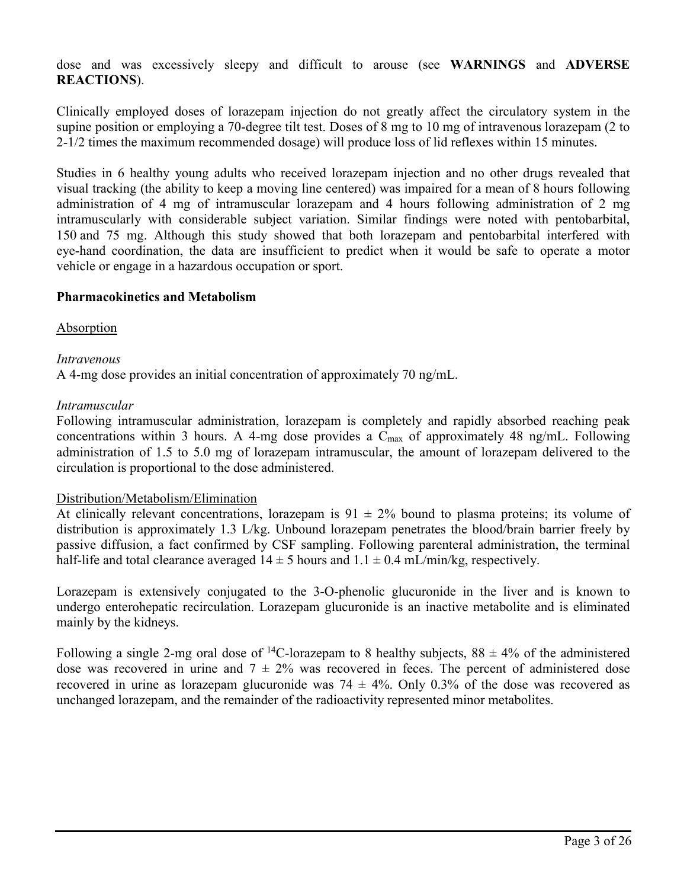dose and was excessively sleepy and difficult to arouse (see **WARNINGS** and **ADVERSE REACTIONS**).

Clinically employed doses of lorazepam injection do not greatly affect the circulatory system in the supine position or employing a 70-degree tilt test. Doses of 8 mg to 10 mg of intravenous lorazepam (2 to 2-1/2 times the maximum recommended dosage) will produce loss of lid reflexes within 15 minutes.

Studies in 6 healthy young adults who received lorazepam injection and no other drugs revealed that visual tracking (the ability to keep a moving line centered) was impaired for a mean of 8 hours following administration of 4 mg of intramuscular lorazepam and 4 hours following administration of 2 mg intramuscularly with considerable subject variation. Similar findings were noted with pentobarbital, 150 and 75 mg. Although this study showed that both lorazepam and pentobarbital interfered with eye-hand coordination, the data are insufficient to predict when it would be safe to operate a motor vehicle or engage in a hazardous occupation or sport.

# **Pharmacokinetics and Metabolism**

#### Absorption

## *Intravenous*

A 4-mg dose provides an initial concentration of approximately 70 ng/mL.

## *Intramuscular*

Following intramuscular administration, lorazepam is completely and rapidly absorbed reaching peak concentrations within 3 hours. A 4-mg dose provides a  $C_{\text{max}}$  of approximately 48 ng/mL. Following administration of 1.5 to 5.0 mg of lorazepam intramuscular, the amount of lorazepam delivered to the circulation is proportional to the dose administered.

#### Distribution/Metabolism/Elimination

At clinically relevant concentrations, lorazepam is  $91 \pm 2\%$  bound to plasma proteins; its volume of distribution is approximately 1.3 L/kg. Unbound lorazepam penetrates the blood/brain barrier freely by passive diffusion, a fact confirmed by CSF sampling. Following parenteral administration, the terminal half-life and total clearance averaged  $14 \pm 5$  hours and  $1.1 \pm 0.4$  mL/min/kg, respectively.

Lorazepam is extensively conjugated to the 3-O-phenolic glucuronide in the liver and is known to undergo enterohepatic recirculation. Lorazepam glucuronide is an inactive metabolite and is eliminated mainly by the kidneys.

Following a single 2-mg oral dose of <sup>14</sup>C-lorazepam to 8 healthy subjects,  $88 \pm 4\%$  of the administered dose was recovered in urine and  $7 \pm 2\%$  was recovered in feces. The percent of administered dose recovered in urine as lorazepam glucuronide was  $74 \pm 4\%$ . Only 0.3% of the dose was recovered as unchanged lorazepam, and the remainder of the radioactivity represented minor metabolites.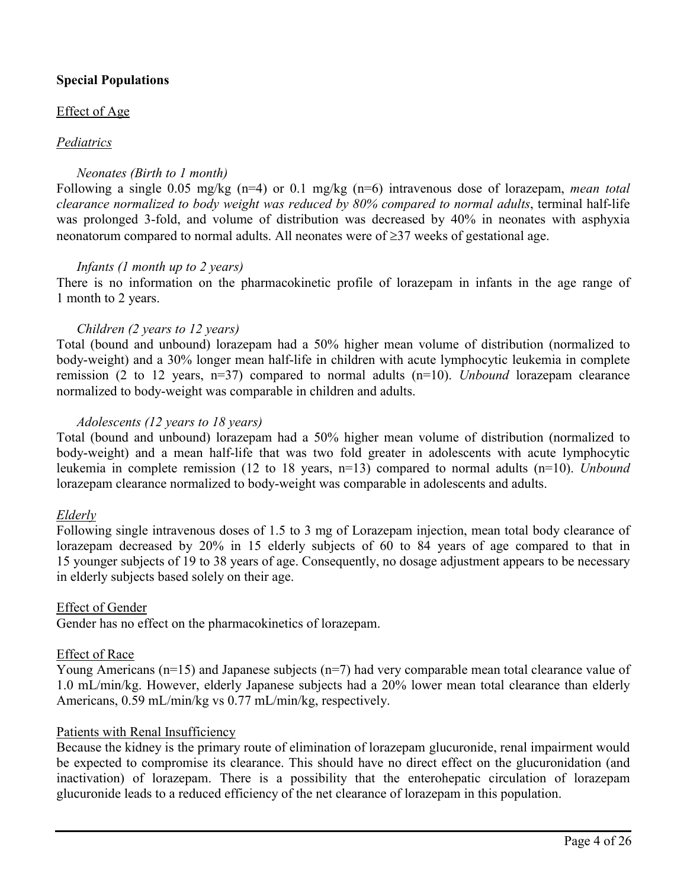# **Special Populations**

## Effect of Age

## *Pediatrics*

## *Neonates (Birth to 1 month)*

Following a single 0.05 mg/kg (n=4) or 0.1 mg/kg (n=6) intravenous dose of lorazepam, *mean total clearance normalized to body weight was reduced by 80% compared to normal adults*, terminal half-life was prolonged 3-fold, and volume of distribution was decreased by 40% in neonates with asphyxia neonatorum compared to normal adults. All neonates were of  $\geq$ 37 weeks of gestational age.

## *Infants (1 month up to 2 years)*

There is no information on the pharmacokinetic profile of lorazepam in infants in the age range of 1 month to 2 years.

# *Children (2 years to 12 years)*

Total (bound and unbound) lorazepam had a 50% higher mean volume of distribution (normalized to body-weight) and a 30% longer mean half-life in children with acute lymphocytic leukemia in complete remission (2 to 12 years, n=37) compared to normal adults (n=10). *Unbound* lorazepam clearance normalized to body-weight was comparable in children and adults.

## *Adolescents (12 years to 18 years)*

Total (bound and unbound) lorazepam had a 50% higher mean volume of distribution (normalized to body-weight) and a mean half-life that was two fold greater in adolescents with acute lymphocytic leukemia in complete remission (12 to 18 years, n=13) compared to normal adults (n=10). *Unbound* lorazepam clearance normalized to body-weight was comparable in adolescents and adults.

#### *Elderly*

Following single intravenous doses of 1.5 to 3 mg of Lorazepam injection, mean total body clearance of lorazepam decreased by 20% in 15 elderly subjects of 60 to 84 years of age compared to that in 15 younger subjects of 19 to 38 years of age. Consequently, no dosage adjustment appears to be necessary in elderly subjects based solely on their age.

#### Effect of Gender

Gender has no effect on the pharmacokinetics of lorazepam.

#### Effect of Race

Young Americans  $(n=15)$  and Japanese subjects  $(n=7)$  had very comparable mean total clearance value of 1.0 mL/min/kg. However, elderly Japanese subjects had a 20% lower mean total clearance than elderly Americans, 0.59 mL/min/kg vs 0.77 mL/min/kg, respectively.

## Patients with Renal Insufficiency

Because the kidney is the primary route of elimination of lorazepam glucuronide, renal impairment would be expected to compromise its clearance. This should have no direct effect on the glucuronidation (and inactivation) of lorazepam. There is a possibility that the enterohepatic circulation of lorazepam glucuronide leads to a reduced efficiency of the net clearance of lorazepam in this population.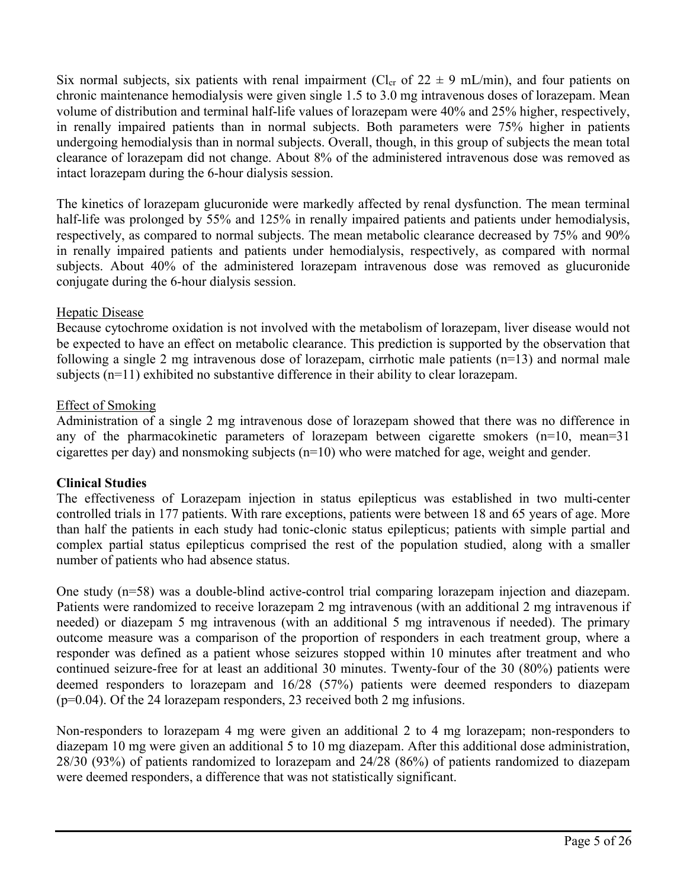Six normal subjects, six patients with renal impairment (Cl<sub>cr</sub> of  $22 \pm 9$  mL/min), and four patients on chronic maintenance hemodialysis were given single 1.5 to 3.0 mg intravenous doses of lorazepam. Mean volume of distribution and terminal half-life values of lorazepam were 40% and 25% higher, respectively, in renally impaired patients than in normal subjects. Both parameters were 75% higher in patients undergoing hemodialysis than in normal subjects. Overall, though, in this group of subjects the mean total clearance of lorazepam did not change. About 8% of the administered intravenous dose was removed as intact lorazepam during the 6-hour dialysis session.

The kinetics of lorazepam glucuronide were markedly affected by renal dysfunction. The mean terminal half-life was prolonged by 55% and 125% in renally impaired patients and patients under hemodialysis, respectively, as compared to normal subjects. The mean metabolic clearance decreased by 75% and 90% in renally impaired patients and patients under hemodialysis, respectively, as compared with normal subjects. About 40% of the administered lorazepam intravenous dose was removed as glucuronide conjugate during the 6-hour dialysis session.

# Hepatic Disease

Because cytochrome oxidation is not involved with the metabolism of lorazepam, liver disease would not be expected to have an effect on metabolic clearance. This prediction is supported by the observation that following a single 2 mg intravenous dose of lorazepam, cirrhotic male patients  $(n=13)$  and normal male subjects (n=11) exhibited no substantive difference in their ability to clear lorazepam.

# Effect of Smoking

Administration of a single 2 mg intravenous dose of lorazepam showed that there was no difference in any of the pharmacokinetic parameters of lorazepam between cigarette smokers (n=10, mean=31 cigarettes per day) and nonsmoking subjects  $(n=10)$  who were matched for age, weight and gender.

# **Clinical Studies**

The effectiveness of Lorazepam injection in status epilepticus was established in two multi-center controlled trials in 177 patients. With rare exceptions, patients were between 18 and 65 years of age. More than half the patients in each study had tonic-clonic status epilepticus; patients with simple partial and complex partial status epilepticus comprised the rest of the population studied, along with a smaller number of patients who had absence status.

One study (n=58) was a double-blind active-control trial comparing lorazepam injection and diazepam. Patients were randomized to receive lorazepam 2 mg intravenous (with an additional 2 mg intravenous if needed) or diazepam 5 mg intravenous (with an additional 5 mg intravenous if needed). The primary outcome measure was a comparison of the proportion of responders in each treatment group, where a responder was defined as a patient whose seizures stopped within 10 minutes after treatment and who continued seizure-free for at least an additional 30 minutes. Twenty-four of the 30 (80%) patients were deemed responders to lorazepam and 16/28 (57%) patients were deemed responders to diazepam (p=0.04). Of the 24 lorazepam responders, 23 received both 2 mg infusions.

Non-responders to lorazepam 4 mg were given an additional 2 to 4 mg lorazepam; non-responders to diazepam 10 mg were given an additional 5 to 10 mg diazepam. After this additional dose administration, 28/30 (93%) of patients randomized to lorazepam and 24/28 (86%) of patients randomized to diazepam were deemed responders, a difference that was not statistically significant.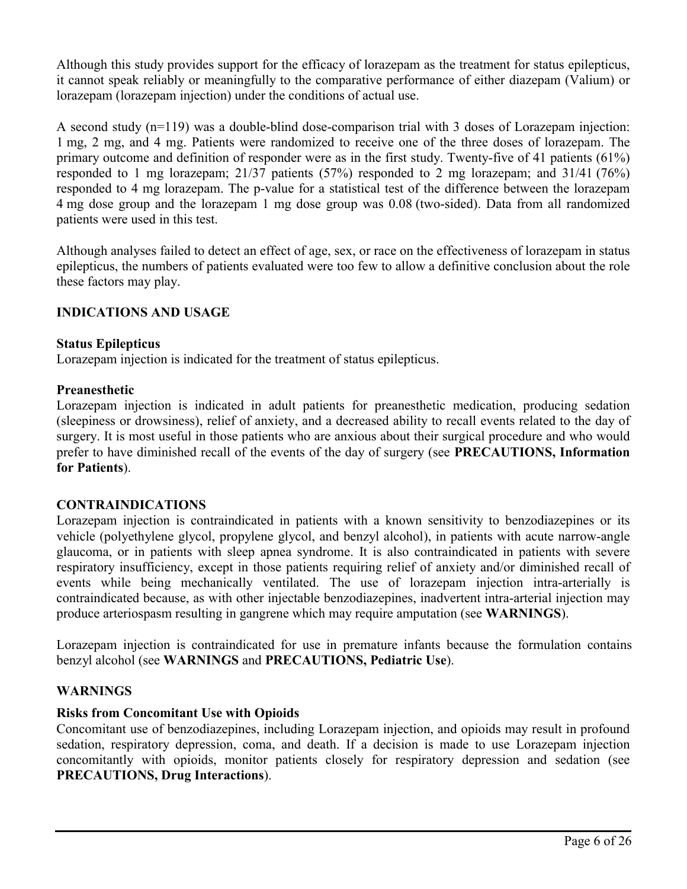Although this study provides support for the efficacy of lorazepam as the treatment for status epilepticus, it cannot speak reliably or meaningfully to the comparative performance of either diazepam (Valium) or lorazepam (lorazepam injection) under the conditions of actual use.

A second study (n=119) was a double-blind dose-comparison trial with 3 doses of Lorazepam injection: 1 mg, 2 mg, and 4 mg. Patients were randomized to receive one of the three doses of lorazepam. The primary outcome and definition of responder were as in the first study. Twenty-five of 41 patients (61%) responded to 1 mg lorazepam; 21/37 patients (57%) responded to 2 mg lorazepam; and 31/41 (76%) responded to 4 mg lorazepam. The p-value for a statistical test of the difference between the lorazepam 4 mg dose group and the lorazepam 1 mg dose group was 0.08 (two-sided). Data from all randomized patients were used in this test.

Although analyses failed to detect an effect of age, sex, or race on the effectiveness of lorazepam in status epilepticus, the numbers of patients evaluated were too few to allow a definitive conclusion about the role these factors may play.

# **INDICATIONS AND USAGE**

# **Status Epilepticus**

Lorazepam injection is indicated for the treatment of status epilepticus.

# **Preanesthetic**

Lorazepam injection is indicated in adult patients for preanesthetic medication, producing sedation (sleepiness or drowsiness), relief of anxiety, and a decreased ability to recall events related to the day of surgery. It is most useful in those patients who are anxious about their surgical procedure and who would prefer to have diminished recall of the events of the day of surgery (see **PRECAUTIONS, Information for Patients**).

# **CONTRAINDICATIONS**

Lorazepam injection is contraindicated in patients with a known sensitivity to benzodiazepines or its vehicle (polyethylene glycol, propylene glycol, and benzyl alcohol), in patients with acute narrow-angle glaucoma, or in patients with sleep apnea syndrome. It is also contraindicated in patients with severe respiratory insufficiency, except in those patients requiring relief of anxiety and/or diminished recall of events while being mechanically ventilated. The use of lorazepam injection intra-arterially is contraindicated because, as with other injectable benzodiazepines, inadvertent intra-arterial injection may produce arteriospasm resulting in gangrene which may require amputation (see **WARNINGS**).

Lorazepam injection is contraindicated for use in premature infants because the formulation contains benzyl alcohol (see **WARNINGS** and **PRECAUTIONS, Pediatric Use**).

# **WARNINGS**

# **Risks from Concomitant Use with Opioids**

Concomitant use of benzodiazepines, including Lorazepam injection, and opioids may result in profound sedation, respiratory depression, coma, and death. If a decision is made to use Lorazepam injection concomitantly with opioids, monitor patients closely for respiratory depression and sedation (see **PRECAUTIONS, Drug Interactions**).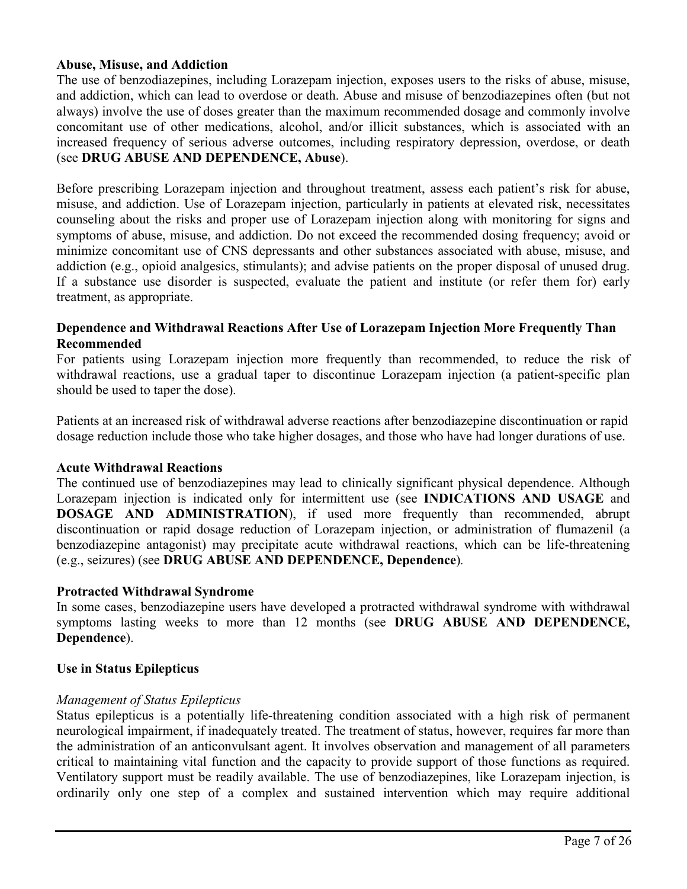## **Abuse, Misuse, and Addiction**

The use of benzodiazepines, including Lorazepam injection, exposes users to the risks of abuse, misuse, and addiction, which can lead to overdose or death. Abuse and misuse of benzodiazepines often (but not always) involve the use of doses greater than the maximum recommended dosage and commonly involve concomitant use of other medications, alcohol, and/or illicit substances, which is associated with an increased frequency of serious adverse outcomes, including respiratory depression, overdose, or death (see **DRUG ABUSE AND DEPENDENCE, Abuse**).

Before prescribing Lorazepam injection and throughout treatment, assess each patient's risk for abuse, misuse, and addiction. Use of Lorazepam injection, particularly in patients at elevated risk, necessitates counseling about the risks and proper use of Lorazepam injection along with monitoring for signs and symptoms of abuse, misuse, and addiction. Do not exceed the recommended dosing frequency; avoid or minimize concomitant use of CNS depressants and other substances associated with abuse, misuse, and addiction (e.g., opioid analgesics, stimulants); and advise patients on the proper disposal of unused drug. If a substance use disorder is suspected, evaluate the patient and institute (or refer them for) early treatment, as appropriate.

#### **Dependence and Withdrawal Reactions After Use of Lorazepam Injection More Frequently Than Recommended**

For patients using Lorazepam injection more frequently than recommended, to reduce the risk of withdrawal reactions, use a gradual taper to discontinue Lorazepam injection (a patient-specific plan should be used to taper the dose).

Patients at an increased risk of withdrawal adverse reactions after benzodiazepine discontinuation or rapid dosage reduction include those who take higher dosages, and those who have had longer durations of use.

#### **Acute Withdrawal Reactions**

The continued use of benzodiazepines may lead to clinically significant physical dependence. Although Lorazepam injection is indicated only for intermittent use (see **INDICATIONS AND USAGE** and **DOSAGE AND ADMINISTRATION**), if used more frequently than recommended, abrupt discontinuation or rapid dosage reduction of Lorazepam injection, or administration of flumazenil (a benzodiazepine antagonist) may precipitate acute withdrawal reactions, which can be life-threatening (e.g., seizures) (see **DRUG ABUSE AND DEPENDENCE, Dependence**)*.* 

#### **Protracted Withdrawal Syndrome**

In some cases, benzodiazepine users have developed a protracted withdrawal syndrome with withdrawal symptoms lasting weeks to more than 12 months (see **DRUG ABUSE AND DEPENDENCE, Dependence**).

#### **Use in Status Epilepticus**

#### *Management of Status Epilepticus*

Status epilepticus is a potentially life-threatening condition associated with a high risk of permanent neurological impairment, if inadequately treated. The treatment of status, however, requires far more than the administration of an anticonvulsant agent. It involves observation and management of all parameters critical to maintaining vital function and the capacity to provide support of those functions as required. Ventilatory support must be readily available. The use of benzodiazepines, like Lorazepam injection, is ordinarily only one step of a complex and sustained intervention which may require additional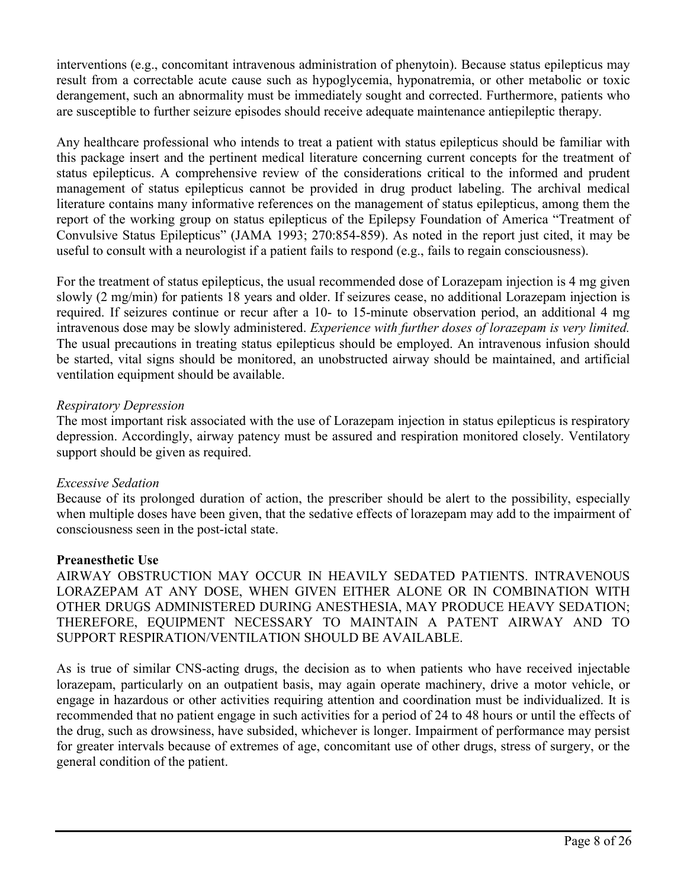interventions (e.g., concomitant intravenous administration of phenytoin). Because status epilepticus may result from a correctable acute cause such as hypoglycemia, hyponatremia, or other metabolic or toxic derangement, such an abnormality must be immediately sought and corrected. Furthermore, patients who are susceptible to further seizure episodes should receive adequate maintenance antiepileptic therapy.

Any healthcare professional who intends to treat a patient with status epilepticus should be familiar with this package insert and the pertinent medical literature concerning current concepts for the treatment of status epilepticus. A comprehensive review of the considerations critical to the informed and prudent management of status epilepticus cannot be provided in drug product labeling. The archival medical literature contains many informative references on the management of status epilepticus, among them the report of the working group on status epilepticus of the Epilepsy Foundation of America "Treatment of Convulsive Status Epilepticus" (JAMA 1993; 270:854-859). As noted in the report just cited, it may be useful to consult with a neurologist if a patient fails to respond (e.g., fails to regain consciousness).

For the treatment of status epilepticus, the usual recommended dose of Lorazepam injection is 4 mg given slowly (2 mg/min) for patients 18 years and older. If seizures cease, no additional Lorazepam injection is required. If seizures continue or recur after a 10- to 15-minute observation period, an additional 4 mg intravenous dose may be slowly administered. *Experience with further doses of lorazepam is very limited.* The usual precautions in treating status epilepticus should be employed. An intravenous infusion should be started, vital signs should be monitored, an unobstructed airway should be maintained, and artificial ventilation equipment should be available.

## *Respiratory Depression*

The most important risk associated with the use of Lorazepam injection in status epilepticus is respiratory depression. Accordingly, airway patency must be assured and respiration monitored closely. Ventilatory support should be given as required.

# *Excessive Sedation*

Because of its prolonged duration of action, the prescriber should be alert to the possibility, especially when multiple doses have been given, that the sedative effects of lorazepam may add to the impairment of consciousness seen in the post-ictal state.

#### **Preanesthetic Use**

AIRWAY OBSTRUCTION MAY OCCUR IN HEAVILY SEDATED PATIENTS. INTRAVENOUS LORAZEPAM AT ANY DOSE, WHEN GIVEN EITHER ALONE OR IN COMBINATION WITH OTHER DRUGS ADMINISTERED DURING ANESTHESIA, MAY PRODUCE HEAVY SEDATION; THEREFORE, EQUIPMENT NECESSARY TO MAINTAIN A PATENT AIRWAY AND TO SUPPORT RESPIRATION/VENTILATION SHOULD BE AVAILABLE.

As is true of similar CNS-acting drugs, the decision as to when patients who have received injectable lorazepam, particularly on an outpatient basis, may again operate machinery, drive a motor vehicle, or engage in hazardous or other activities requiring attention and coordination must be individualized. It is recommended that no patient engage in such activities for a period of 24 to 48 hours or until the effects of the drug, such as drowsiness, have subsided, whichever is longer. Impairment of performance may persist for greater intervals because of extremes of age, concomitant use of other drugs, stress of surgery, or the general condition of the patient.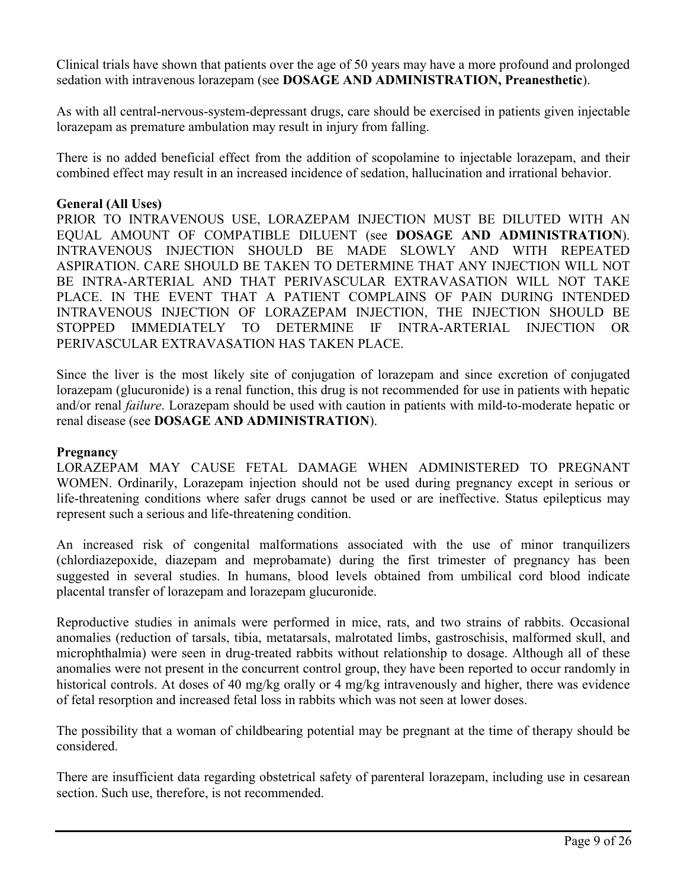Clinical trials have shown that patients over the age of 50 years may have a more profound and prolonged sedation with intravenous lorazepam (see **DOSAGE AND ADMINISTRATION, Preanesthetic**).

As with all central-nervous-system-depressant drugs, care should be exercised in patients given injectable lorazepam as premature ambulation may result in injury from falling.

There is no added beneficial effect from the addition of scopolamine to injectable lorazepam, and their combined effect may result in an increased incidence of sedation, hallucination and irrational behavior.

## **General (All Uses)**

PRIOR TO INTRAVENOUS USE, LORAZEPAM INJECTION MUST BE DILUTED WITH AN EQUAL AMOUNT OF COMPATIBLE DILUENT (see **DOSAGE AND ADMINISTRATION**). INTRAVENOUS INJECTION SHOULD BE MADE SLOWLY AND WITH REPEATED ASPIRATION. CARE SHOULD BE TAKEN TO DETERMINE THAT ANY INJECTION WILL NOT BE INTRA-ARTERIAL AND THAT PERIVASCULAR EXTRAVASATION WILL NOT TAKE PLACE. IN THE EVENT THAT A PATIENT COMPLAINS OF PAIN DURING INTENDED INTRAVENOUS INJECTION OF LORAZEPAM INJECTION, THE INJECTION SHOULD BE STOPPED IMMEDIATELY TO DETERMINE IF INTRA-ARTERIAL INJECTION OR PERIVASCULAR EXTRAVASATION HAS TAKEN PLACE.

Since the liver is the most likely site of conjugation of lorazepam and since excretion of conjugated lorazepam (glucuronide) is a renal function, this drug is not recommended for use in patients with hepatic and/or renal *failure*. Lorazepam should be used with caution in patients with mild-to-moderate hepatic or renal disease (see **DOSAGE AND ADMINISTRATION**).

#### **Pregnancy**

LORAZEPAM MAY CAUSE FETAL DAMAGE WHEN ADMINISTERED TO PREGNANT WOMEN. Ordinarily, Lorazepam injection should not be used during pregnancy except in serious or life-threatening conditions where safer drugs cannot be used or are ineffective. Status epilepticus may represent such a serious and life-threatening condition.

An increased risk of congenital malformations associated with the use of minor tranquilizers (chlordiazepoxide, diazepam and meprobamate) during the first trimester of pregnancy has been suggested in several studies. In humans, blood levels obtained from umbilical cord blood indicate placental transfer of lorazepam and lorazepam glucuronide.

Reproductive studies in animals were performed in mice, rats, and two strains of rabbits. Occasional anomalies (reduction of tarsals, tibia, metatarsals, malrotated limbs, gastroschisis, malformed skull, and microphthalmia) were seen in drug-treated rabbits without relationship to dosage. Although all of these anomalies were not present in the concurrent control group, they have been reported to occur randomly in historical controls. At doses of 40 mg/kg orally or 4 mg/kg intravenously and higher, there was evidence of fetal resorption and increased fetal loss in rabbits which was not seen at lower doses.

The possibility that a woman of childbearing potential may be pregnant at the time of therapy should be considered.

There are insufficient data regarding obstetrical safety of parenteral lorazepam, including use in cesarean section. Such use, therefore, is not recommended.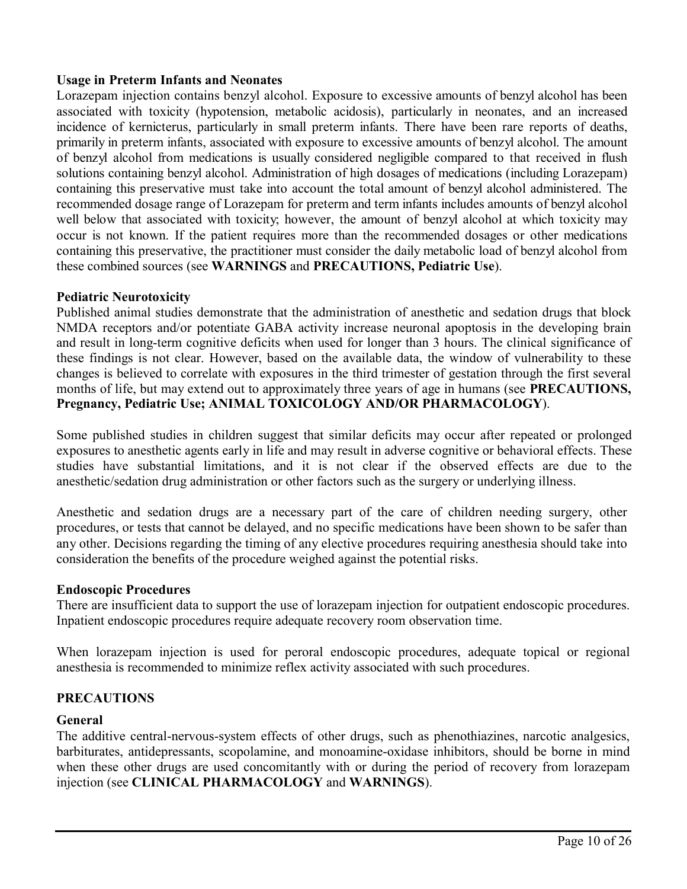## **Usage in Preterm Infants and Neonates**

Lorazepam injection contains benzyl alcohol. Exposure to excessive amounts of benzyl alcohol has been associated with toxicity (hypotension, metabolic acidosis), particularly in neonates, and an increased incidence of kernicterus, particularly in small preterm infants. There have been rare reports of deaths, primarily in preterm infants, associated with exposure to excessive amounts of benzyl alcohol. The amount of benzyl alcohol from medications is usually considered negligible compared to that received in flush solutions containing benzyl alcohol. Administration of high dosages of medications (including Lorazepam) containing this preservative must take into account the total amount of benzyl alcohol administered. The recommended dosage range of Lorazepam for preterm and term infants includes amounts of benzyl alcohol well below that associated with toxicity; however, the amount of benzyl alcohol at which toxicity may occur is not known. If the patient requires more than the recommended dosages or other medications containing this preservative, the practitioner must consider the daily metabolic load of benzyl alcohol from these combined sources (see **WARNINGS** and **PRECAUTIONS, Pediatric Use**).

## **Pediatric Neurotoxicity**

Published animal studies demonstrate that the administration of anesthetic and sedation drugs that block NMDA receptors and/or potentiate GABA activity increase neuronal apoptosis in the developing brain and result in long-term cognitive deficits when used for longer than 3 hours. The clinical significance of these findings is not clear. However, based on the available data, the window of vulnerability to these changes is believed to correlate with exposures in the third trimester of gestation through the first several months of life, but may extend out to approximately three years of age in humans (see **PRECAUTIONS, Pregnancy, Pediatric Use; ANIMAL TOXICOLOGY AND/OR PHARMACOLOGY**).

Some published studies in children suggest that similar deficits may occur after repeated or prolonged exposures to anesthetic agents early in life and may result in adverse cognitive or behavioral effects. These studies have substantial limitations, and it is not clear if the observed effects are due to the anesthetic/sedation drug administration or other factors such as the surgery or underlying illness.

Anesthetic and sedation drugs are a necessary part of the care of children needing surgery, other procedures, or tests that cannot be delayed, and no specific medications have been shown to be safer than any other. Decisions regarding the timing of any elective procedures requiring anesthesia should take into consideration the benefits of the procedure weighed against the potential risks.

#### **Endoscopic Procedures**

There are insufficient data to support the use of lorazepam injection for outpatient endoscopic procedures. Inpatient endoscopic procedures require adequate recovery room observation time.

When lorazepam injection is used for peroral endoscopic procedures, adequate topical or regional anesthesia is recommended to minimize reflex activity associated with such procedures.

# **PRECAUTIONS**

#### **General**

The additive central-nervous-system effects of other drugs, such as phenothiazines, narcotic analgesics, barbiturates, antidepressants, scopolamine, and monoamine-oxidase inhibitors, should be borne in mind when these other drugs are used concomitantly with or during the period of recovery from lorazepam injection (see **CLINICAL PHARMACOLOGY** and **WARNINGS**).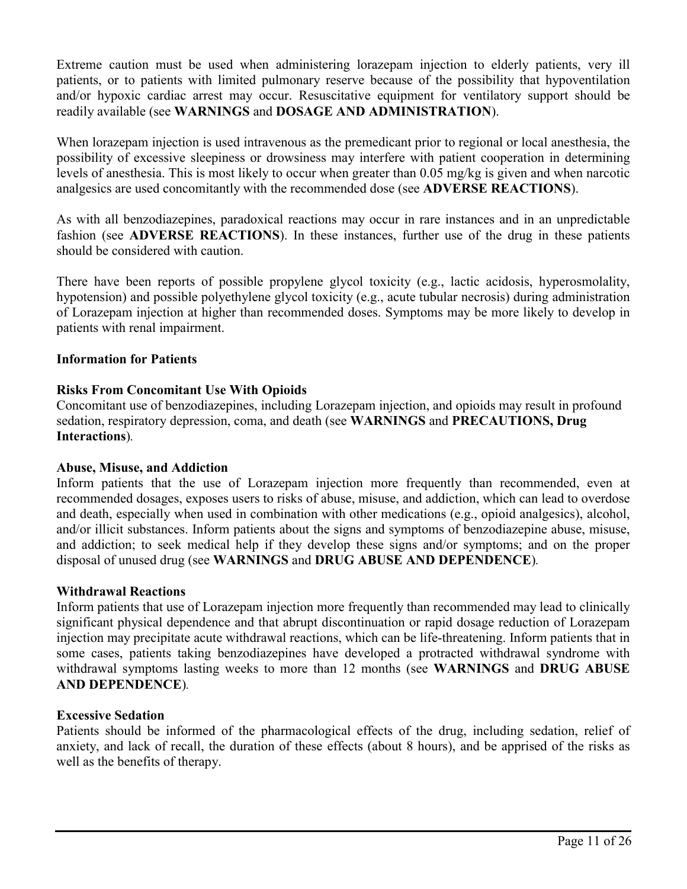Extreme caution must be used when administering lorazepam injection to elderly patients, very ill patients, or to patients with limited pulmonary reserve because of the possibility that hypoventilation and/or hypoxic cardiac arrest may occur. Resuscitative equipment for ventilatory support should be readily available (see **WARNINGS** and **DOSAGE AND ADMINISTRATION**).

When lorazepam injection is used intravenous as the premedicant prior to regional or local anesthesia, the possibility of excessive sleepiness or drowsiness may interfere with patient cooperation in determining levels of anesthesia. This is most likely to occur when greater than 0.05 mg/kg is given and when narcotic analgesics are used concomitantly with the recommended dose (see **ADVERSE REACTIONS**).

As with all benzodiazepines, paradoxical reactions may occur in rare instances and in an unpredictable fashion (see **ADVERSE REACTIONS**). In these instances, further use of the drug in these patients should be considered with caution.

There have been reports of possible propylene glycol toxicity (e.g., lactic acidosis, hyperosmolality, hypotension) and possible polyethylene glycol toxicity (e.g., acute tubular necrosis) during administration of Lorazepam injection at higher than recommended doses. Symptoms may be more likely to develop in patients with renal impairment.

## **Information for Patients**

# **Risks From Concomitant Use With Opioids**

Concomitant use of benzodiazepines, including Lorazepam injection, and opioids may result in profound sedation, respiratory depression, coma, and death (see **WARNINGS** and **PRECAUTIONS, Drug Interactions**)*.* 

#### **Abuse, Misuse, and Addiction**

Inform patients that the use of Lorazepam injection more frequently than recommended, even at recommended dosages, exposes users to risks of abuse, misuse, and addiction, which can lead to overdose and death, especially when used in combination with other medications (e.g., opioid analgesics), alcohol, and/or illicit substances. Inform patients about the signs and symptoms of benzodiazepine abuse, misuse, and addiction; to seek medical help if they develop these signs and/or symptoms; and on the proper disposal of unused drug (see **WARNINGS** and **DRUG ABUSE AND DEPENDENCE**)*.* 

#### **Withdrawal Reactions**

Inform patients that use of Lorazepam injection more frequently than recommended may lead to clinically significant physical dependence and that abrupt discontinuation or rapid dosage reduction of Lorazepam injection may precipitate acute withdrawal reactions, which can be life-threatening. Inform patients that in some cases, patients taking benzodiazepines have developed a protracted withdrawal syndrome with withdrawal symptoms lasting weeks to more than 12 months (see **WARNINGS** and **DRUG ABUSE AND DEPENDENCE**)*.* 

#### **Excessive Sedation**

Patients should be informed of the pharmacological effects of the drug, including sedation, relief of anxiety, and lack of recall, the duration of these effects (about 8 hours), and be apprised of the risks as well as the benefits of therapy.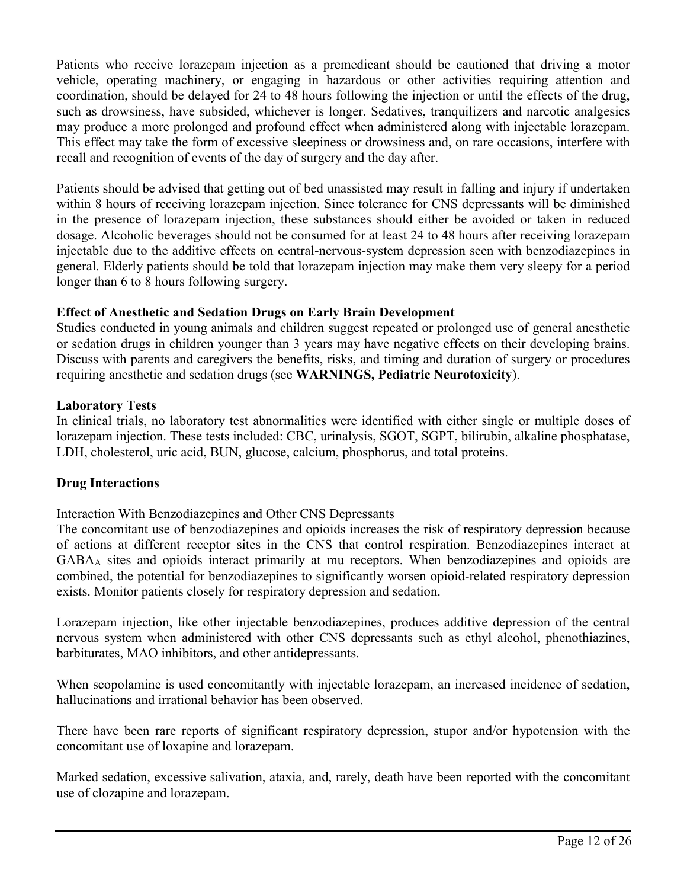Patients who receive lorazepam injection as a premedicant should be cautioned that driving a motor vehicle, operating machinery, or engaging in hazardous or other activities requiring attention and coordination, should be delayed for 24 to 48 hours following the injection or until the effects of the drug, such as drowsiness, have subsided, whichever is longer. Sedatives, tranquilizers and narcotic analgesics may produce a more prolonged and profound effect when administered along with injectable lorazepam. This effect may take the form of excessive sleepiness or drowsiness and, on rare occasions, interfere with recall and recognition of events of the day of surgery and the day after.

Patients should be advised that getting out of bed unassisted may result in falling and injury if undertaken within 8 hours of receiving lorazepam injection. Since tolerance for CNS depressants will be diminished in the presence of lorazepam injection, these substances should either be avoided or taken in reduced dosage. Alcoholic beverages should not be consumed for at least 24 to 48 hours after receiving lorazepam injectable due to the additive effects on central-nervous-system depression seen with benzodiazepines in general. Elderly patients should be told that lorazepam injection may make them very sleepy for a period longer than 6 to 8 hours following surgery.

# **Effect of Anesthetic and Sedation Drugs on Early Brain Development**

Studies conducted in young animals and children suggest repeated or prolonged use of general anesthetic or sedation drugs in children younger than 3 years may have negative effects on their developing brains. Discuss with parents and caregivers the benefits, risks, and timing and duration of surgery or procedures requiring anesthetic and sedation drugs (see **WARNINGS, Pediatric Neurotoxicity**).

# **Laboratory Tests**

In clinical trials, no laboratory test abnormalities were identified with either single or multiple doses of lorazepam injection. These tests included: CBC, urinalysis, SGOT, SGPT, bilirubin, alkaline phosphatase, LDH, cholesterol, uric acid, BUN, glucose, calcium, phosphorus, and total proteins.

# **Drug Interactions**

# Interaction With Benzodiazepines and Other CNS Depressants

The concomitant use of benzodiazepines and opioids increases the risk of respiratory depression because of actions at different receptor sites in the CNS that control respiration. Benzodiazepines interact at GABA<sup>A</sup> sites and opioids interact primarily at mu receptors. When benzodiazepines and opioids are combined, the potential for benzodiazepines to significantly worsen opioid-related respiratory depression exists. Monitor patients closely for respiratory depression and sedation.

Lorazepam injection, like other injectable benzodiazepines, produces additive depression of the central nervous system when administered with other CNS depressants such as ethyl alcohol, phenothiazines, barbiturates, MAO inhibitors, and other antidepressants.

When scopolamine is used concomitantly with injectable lorazepam, an increased incidence of sedation, hallucinations and irrational behavior has been observed.

There have been rare reports of significant respiratory depression, stupor and/or hypotension with the concomitant use of loxapine and lorazepam.

Marked sedation, excessive salivation, ataxia, and, rarely, death have been reported with the concomitant use of clozapine and lorazepam.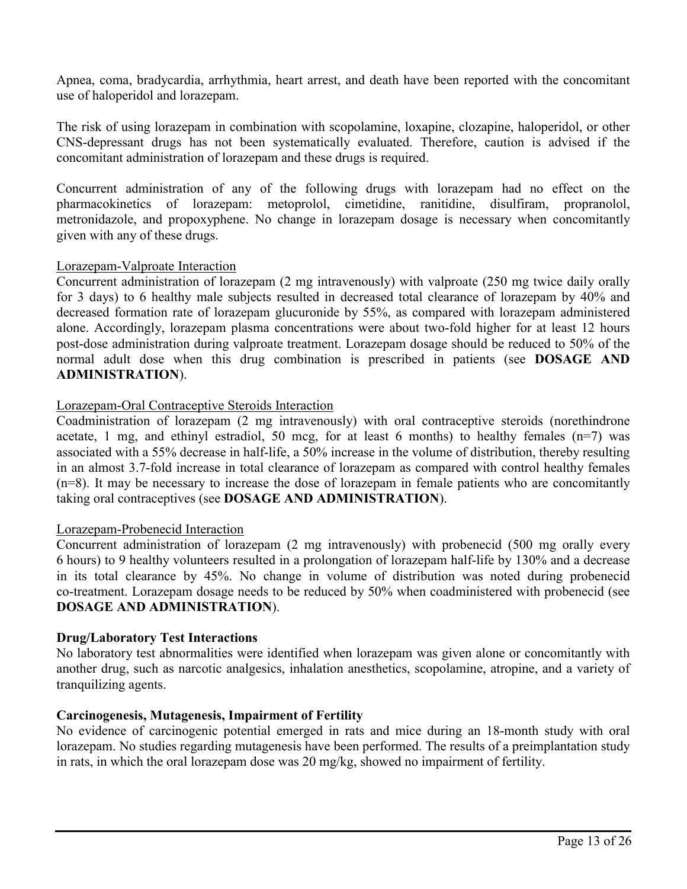Apnea, coma, bradycardia, arrhythmia, heart arrest, and death have been reported with the concomitant use of haloperidol and lorazepam.

The risk of using lorazepam in combination with scopolamine, loxapine, clozapine, haloperidol, or other CNS-depressant drugs has not been systematically evaluated. Therefore, caution is advised if the concomitant administration of lorazepam and these drugs is required.

Concurrent administration of any of the following drugs with lorazepam had no effect on the pharmacokinetics of lorazepam: metoprolol, cimetidine, ranitidine, disulfiram, propranolol, metronidazole, and propoxyphene. No change in lorazepam dosage is necessary when concomitantly given with any of these drugs.

## Lorazepam-Valproate Interaction

Concurrent administration of lorazepam (2 mg intravenously) with valproate (250 mg twice daily orally for 3 days) to 6 healthy male subjects resulted in decreased total clearance of lorazepam by 40% and decreased formation rate of lorazepam glucuronide by 55%, as compared with lorazepam administered alone. Accordingly, lorazepam plasma concentrations were about two-fold higher for at least 12 hours post-dose administration during valproate treatment. Lorazepam dosage should be reduced to 50% of the normal adult dose when this drug combination is prescribed in patients (see **DOSAGE AND ADMINISTRATION**).

#### Lorazepam-Oral Contraceptive Steroids Interaction

Coadministration of lorazepam (2 mg intravenously) with oral contraceptive steroids (norethindrone acetate, 1 mg, and ethinyl estradiol, 50 mcg, for at least 6 months) to healthy females  $(n=7)$  was associated with a 55% decrease in half-life, a 50% increase in the volume of distribution, thereby resulting in an almost 3.7-fold increase in total clearance of lorazepam as compared with control healthy females (n=8). It may be necessary to increase the dose of lorazepam in female patients who are concomitantly taking oral contraceptives (see **DOSAGE AND ADMINISTRATION**).

#### Lorazepam-Probenecid Interaction

Concurrent administration of lorazepam (2 mg intravenously) with probenecid (500 mg orally every 6 hours) to 9 healthy volunteers resulted in a prolongation of lorazepam half-life by 130% and a decrease in its total clearance by 45%. No change in volume of distribution was noted during probenecid co-treatment. Lorazepam dosage needs to be reduced by 50% when coadministered with probenecid (see **DOSAGE AND ADMINISTRATION**).

#### **Drug/Laboratory Test Interactions**

No laboratory test abnormalities were identified when lorazepam was given alone or concomitantly with another drug, such as narcotic analgesics, inhalation anesthetics, scopolamine, atropine, and a variety of tranquilizing agents.

#### **Carcinogenesis, Mutagenesis, Impairment of Fertility**

No evidence of carcinogenic potential emerged in rats and mice during an 18-month study with oral lorazepam. No studies regarding mutagenesis have been performed. The results of a preimplantation study in rats, in which the oral lorazepam dose was 20 mg/kg, showed no impairment of fertility.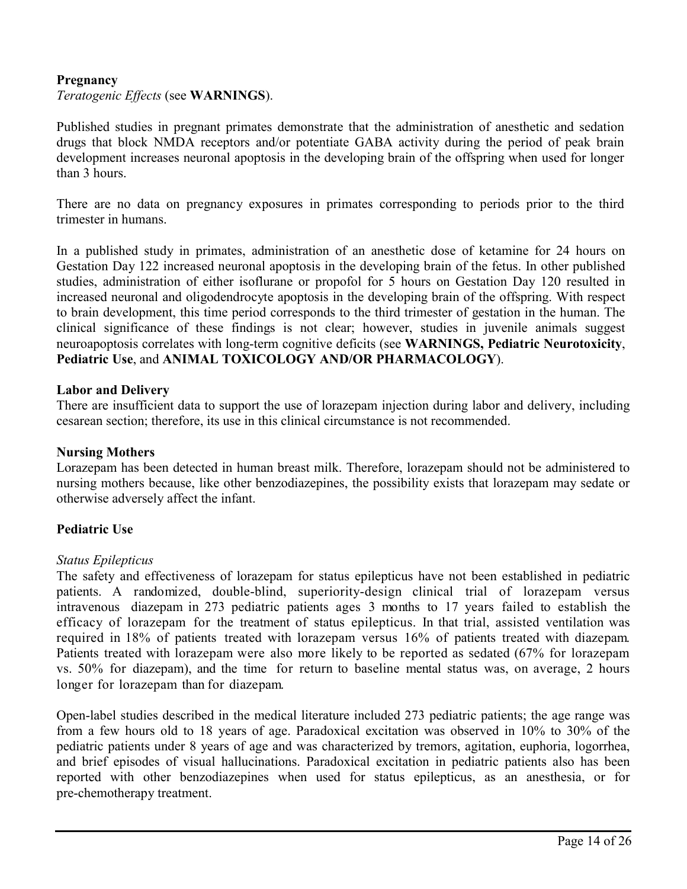## **Pregnancy**

*Teratogenic Effects* (see **WARNINGS**).

Published studies in pregnant primates demonstrate that the administration of anesthetic and sedation drugs that block NMDA receptors and/or potentiate GABA activity during the period of peak brain development increases neuronal apoptosis in the developing brain of the offspring when used for longer than 3 hours.

There are no data on pregnancy exposures in primates corresponding to periods prior to the third trimester in humans.

In a published study in primates, administration of an anesthetic dose of ketamine for 24 hours on Gestation Day 122 increased neuronal apoptosis in the developing brain of the fetus. In other published studies, administration of either isoflurane or propofol for 5 hours on Gestation Day 120 resulted in increased neuronal and oligodendrocyte apoptosis in the developing brain of the offspring. With respect to brain development, this time period corresponds to the third trimester of gestation in the human. The clinical significance of these findings is not clear; however, studies in juvenile animals suggest neuroapoptosis correlates with long-term cognitive deficits (see **WARNINGS, Pediatric Neurotoxicity**, **Pediatric Use**, and **ANIMAL TOXICOLOGY AND/OR PHARMACOLOGY**).

#### **Labor and Delivery**

There are insufficient data to support the use of lorazepam injection during labor and delivery, including cesarean section; therefore, its use in this clinical circumstance is not recommended.

## **Nursing Mothers**

Lorazepam has been detected in human breast milk. Therefore, lorazepam should not be administered to nursing mothers because, like other benzodiazepines, the possibility exists that lorazepam may sedate or otherwise adversely affect the infant.

# **Pediatric Use**

#### *Status Epilepticus*

The safety and effectiveness of lorazepam for status epilepticus have not been established in pediatric patients. A randomized, double-blind, superiority-design clinical trial of lorazepam versus intravenous diazepam in 273 pediatric patients ages 3 months to 17 years failed to establish the efficacy of lorazepam for the treatment of status epilepticus. In that trial, assisted ventilation was required in 18% of patients treated with lorazepam versus 16% of patients treated with diazepam. Patients treated with lorazepam were also more likely to be reported as sedated (67% for lorazepam vs. 50% for diazepam), and the time for return to baseline mental status was, on average, 2 hours longer for lorazepam than for diazepam.

Open-label studies described in the medical literature included 273 pediatric patients; the age range was from a few hours old to 18 years of age. Paradoxical excitation was observed in 10% to 30% of the pediatric patients under 8 years of age and was characterized by tremors, agitation, euphoria, logorrhea, and brief episodes of visual hallucinations. Paradoxical excitation in pediatric patients also has been reported with other benzodiazepines when used for status epilepticus, as an anesthesia, or for pre-chemotherapy treatment.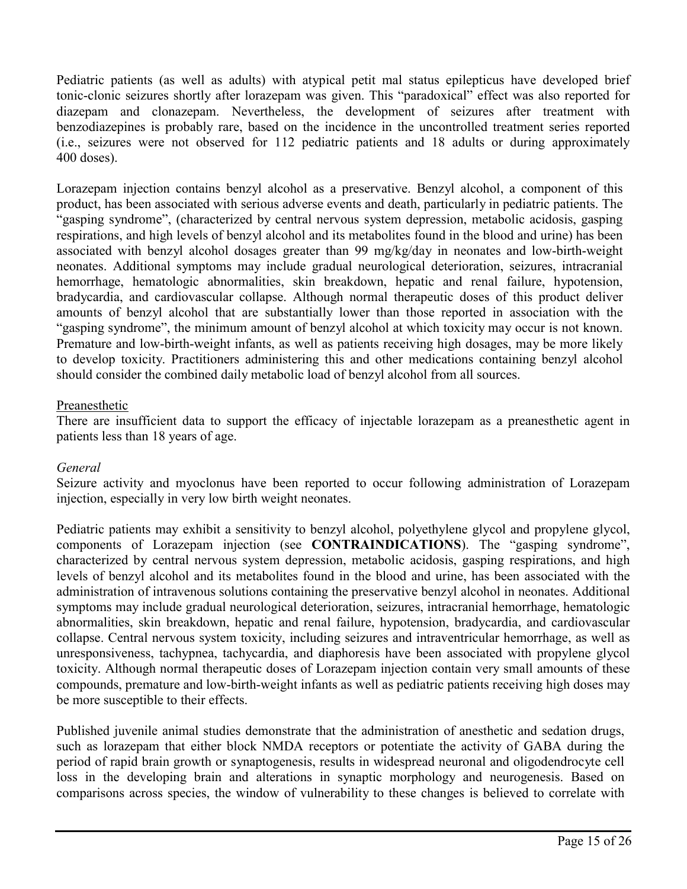Pediatric patients (as well as adults) with atypical petit mal status epilepticus have developed brief tonic-clonic seizures shortly after lorazepam was given. This "paradoxical" effect was also reported for diazepam and clonazepam. Nevertheless, the development of seizures after treatment with benzodiazepines is probably rare, based on the incidence in the uncontrolled treatment series reported (i.e., seizures were not observed for 112 pediatric patients and 18 adults or during approximately 400 doses).

Lorazepam injection contains benzyl alcohol as a preservative. Benzyl alcohol, a component of this product, has been associated with serious adverse events and death, particularly in pediatric patients. The "gasping syndrome", (characterized by central nervous system depression, metabolic acidosis, gasping respirations, and high levels of benzyl alcohol and its metabolites found in the blood and urine) has been associated with benzyl alcohol dosages greater than 99 mg/kg/day in neonates and low-birth-weight neonates. Additional symptoms may include gradual neurological deterioration, seizures, intracranial hemorrhage, hematologic abnormalities, skin breakdown, hepatic and renal failure, hypotension, bradycardia, and cardiovascular collapse. Although normal therapeutic doses of this product deliver amounts of benzyl alcohol that are substantially lower than those reported in association with the "gasping syndrome", the minimum amount of benzyl alcohol at which toxicity may occur is not known. Premature and low-birth-weight infants, as well as patients receiving high dosages, may be more likely to develop toxicity. Practitioners administering this and other medications containing benzyl alcohol should consider the combined daily metabolic load of benzyl alcohol from all sources.

## Preanesthetic

There are insufficient data to support the efficacy of injectable lorazepam as a preanesthetic agent in patients less than 18 years of age.

#### *General*

Seizure activity and myoclonus have been reported to occur following administration of Lorazepam injection, especially in very low birth weight neonates.

Pediatric patients may exhibit a sensitivity to benzyl alcohol, polyethylene glycol and propylene glycol, components of Lorazepam injection (see **CONTRAINDICATIONS**). The "gasping syndrome", characterized by central nervous system depression, metabolic acidosis, gasping respirations, and high levels of benzyl alcohol and its metabolites found in the blood and urine, has been associated with the administration of intravenous solutions containing the preservative benzyl alcohol in neonates. Additional symptoms may include gradual neurological deterioration, seizures, intracranial hemorrhage, hematologic abnormalities, skin breakdown, hepatic and renal failure, hypotension, bradycardia, and cardiovascular collapse. Central nervous system toxicity, including seizures and intraventricular hemorrhage, as well as unresponsiveness, tachypnea, tachycardia, and diaphoresis have been associated with propylene glycol toxicity. Although normal therapeutic doses of Lorazepam injection contain very small amounts of these compounds, premature and low-birth-weight infants as well as pediatric patients receiving high doses may be more susceptible to their effects.

Published juvenile animal studies demonstrate that the administration of anesthetic and sedation drugs, such as lorazepam that either block NMDA receptors or potentiate the activity of GABA during the period of rapid brain growth or synaptogenesis, results in widespread neuronal and oligodendrocyte cell loss in the developing brain and alterations in synaptic morphology and neurogenesis. Based on comparisons across species, the window of vulnerability to these changes is believed to correlate with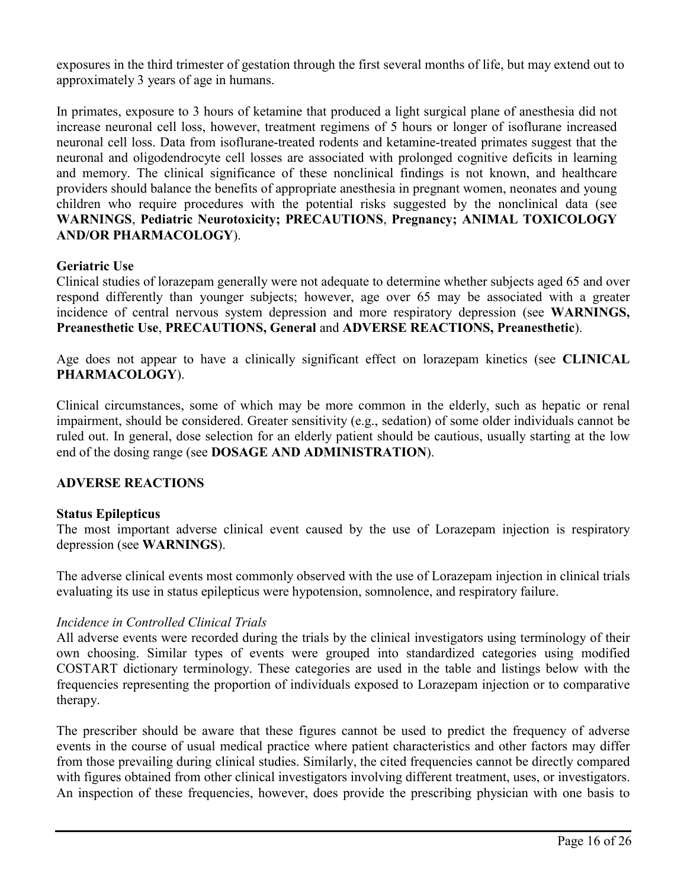exposures in the third trimester of gestation through the first several months of life, but may extend out to approximately 3 years of age in humans.

In primates, exposure to 3 hours of ketamine that produced a light surgical plane of anesthesia did not increase neuronal cell loss, however, treatment regimens of 5 hours or longer of isoflurane increased neuronal cell loss. Data from isoflurane-treated rodents and ketamine-treated primates suggest that the neuronal and oligodendrocyte cell losses are associated with prolonged cognitive deficits in learning and memory. The clinical significance of these nonclinical findings is not known, and healthcare providers should balance the benefits of appropriate anesthesia in pregnant women, neonates and young children who require procedures with the potential risks suggested by the nonclinical data (see **WARNINGS**, **Pediatric Neurotoxicity; PRECAUTIONS**, **Pregnancy; ANIMAL TOXICOLOGY AND/OR PHARMACOLOGY**).

## **Geriatric Use**

Clinical studies of lorazepam generally were not adequate to determine whether subjects aged 65 and over respond differently than younger subjects; however, age over 65 may be associated with a greater incidence of central nervous system depression and more respiratory depression (see **WARNINGS, Preanesthetic Use**, **PRECAUTIONS, General** and **ADVERSE REACTIONS, Preanesthetic**).

Age does not appear to have a clinically significant effect on lorazepam kinetics (see **CLINICAL PHARMACOLOGY**).

Clinical circumstances, some of which may be more common in the elderly, such as hepatic or renal impairment, should be considered. Greater sensitivity (e.g., sedation) of some older individuals cannot be ruled out. In general, dose selection for an elderly patient should be cautious, usually starting at the low end of the dosing range (see **DOSAGE AND ADMINISTRATION**).

#### **ADVERSE REACTIONS**

#### **Status Epilepticus**

The most important adverse clinical event caused by the use of Lorazepam injection is respiratory depression (see **WARNINGS**).

The adverse clinical events most commonly observed with the use of Lorazepam injection in clinical trials evaluating its use in status epilepticus were hypotension, somnolence, and respiratory failure.

#### *Incidence in Controlled Clinical Trials*

All adverse events were recorded during the trials by the clinical investigators using terminology of their own choosing. Similar types of events were grouped into standardized categories using modified COSTART dictionary terminology. These categories are used in the table and listings below with the frequencies representing the proportion of individuals exposed to Lorazepam injection or to comparative therapy.

The prescriber should be aware that these figures cannot be used to predict the frequency of adverse events in the course of usual medical practice where patient characteristics and other factors may differ from those prevailing during clinical studies. Similarly, the cited frequencies cannot be directly compared with figures obtained from other clinical investigators involving different treatment, uses, or investigators. An inspection of these frequencies, however, does provide the prescribing physician with one basis to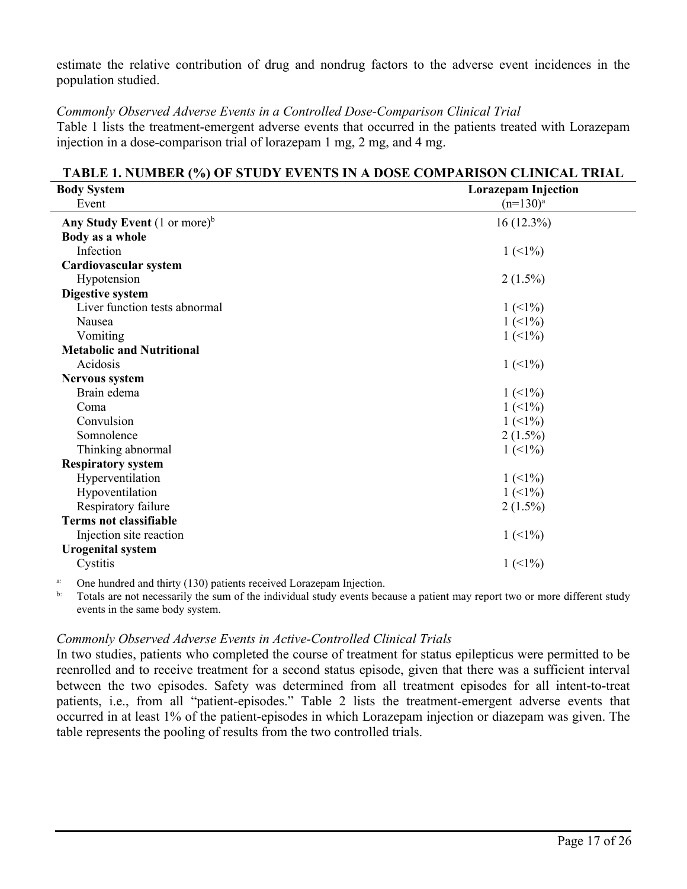estimate the relative contribution of drug and nondrug factors to the adverse event incidences in the population studied.

## *Commonly Observed Adverse Events in a Controlled Dose-Comparison Clinical Trial*

Table 1 lists the treatment-emergent adverse events that occurred in the patients treated with Lorazepam injection in a dose-comparison trial of lorazepam 1 mg, 2 mg, and 4 mg.

## **TABLE 1. NUMBER (%) OF STUDY EVENTS IN A DOSE COMPARISON CLINICAL TRIAL**

| <b>Body System</b>                      | <b>Lorazepam Injection</b> |  |
|-----------------------------------------|----------------------------|--|
| Event                                   | $(n=130)^a$                |  |
| Any Study Event $(1 \text{ or more})^b$ | $16(12.3\%)$               |  |
| Body as a whole                         |                            |  |
| Infection                               | $1(1\%)$                   |  |
| Cardiovascular system                   |                            |  |
| Hypotension                             | $2(1.5\%)$                 |  |
| <b>Digestive system</b>                 |                            |  |
| Liver function tests abnormal           | $1(1\%)$                   |  |
| Nausea                                  | $1(1\%)$                   |  |
| Vomiting                                | $1(1\%)$                   |  |
| <b>Metabolic and Nutritional</b>        |                            |  |
| Acidosis                                | $1(1\%)$                   |  |
| <b>Nervous system</b>                   |                            |  |
| Brain edema                             | $1(1\%)$                   |  |
| Coma                                    | $1(1\%)$                   |  |
| Convulsion                              | $1(1\%)$                   |  |
| Somnolence                              | $2(1.5\%)$                 |  |
| Thinking abnormal                       | $1(1\%)$                   |  |
| <b>Respiratory system</b>               |                            |  |
| Hyperventilation                        | $1(1\%)$                   |  |
| Hypoventilation                         | $1(1\%)$                   |  |
| Respiratory failure                     | $2(1.5\%)$                 |  |
| <b>Terms not classifiable</b>           |                            |  |
| Injection site reaction                 | $1(1\%)$                   |  |
| <b>Urogenital system</b>                |                            |  |
| Cystitis                                | $1(1\%)$                   |  |
|                                         |                            |  |

a: One hundred and thirty (130) patients received Lorazepam Injection.

<sup>b:</sup> Totals are not necessarily the sum of the individual study events because a patient may report two or more different study events in the same body system.

#### *Commonly Observed Adverse Events in Active-Controlled Clinical Trials*

In two studies, patients who completed the course of treatment for status epilepticus were permitted to be reenrolled and to receive treatment for a second status episode, given that there was a sufficient interval between the two episodes. Safety was determined from all treatment episodes for all intent-to-treat patients, i.e., from all "patient-episodes." Table 2 lists the treatment-emergent adverse events that occurred in at least 1% of the patient-episodes in which Lorazepam injection or diazepam was given. The table represents the pooling of results from the two controlled trials.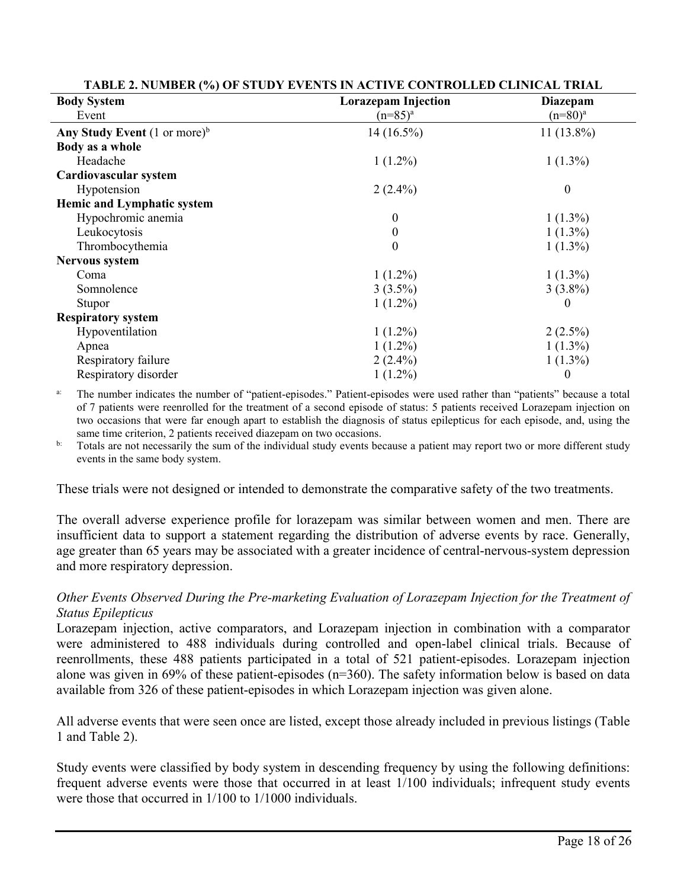| <b>Body System</b>                      | <b>Lorazepam Injection</b> | <b>Diazepam</b>  |
|-----------------------------------------|----------------------------|------------------|
| Event                                   | $(n=85)^{a}$               | $(n=80)^a$       |
| Any Study Event $(1 \text{ or more})^b$ | $14(16.5\%)$               | $11(13.8\%)$     |
| Body as a whole                         |                            |                  |
| Headache                                | $1(1.2\%)$                 | $1(1.3\%)$       |
| Cardiovascular system                   |                            |                  |
| Hypotension                             | $2(2.4\%)$                 | $\boldsymbol{0}$ |
| Hemic and Lymphatic system              |                            |                  |
| Hypochromic anemia                      | $\overline{0}$             | $1(1.3\%)$       |
| Leukocytosis                            | $\boldsymbol{0}$           | $1(1.3\%)$       |
| Thrombocythemia                         | $\boldsymbol{0}$           | $1(1.3\%)$       |
| <b>Nervous system</b>                   |                            |                  |
| Coma                                    | $1(1.2\%)$                 | $1(1.3\%)$       |
| Somnolence                              | $3(3.5\%)$                 | $3(3.8\%)$       |
| Stupor                                  | $1(1.2\%)$                 | $\theta$         |
| <b>Respiratory system</b>               |                            |                  |
| Hypoventilation                         | $1(1.2\%)$                 | $2(2.5\%)$       |
| Apnea                                   | $1(1.2\%)$                 | $1(1.3\%)$       |
| Respiratory failure                     | $2(2.4\%)$                 | $1(1.3\%)$       |
| Respiratory disorder                    | $1(1.2\%)$                 | 0                |

**TABLE 2. NUMBER (%) OF STUDY EVENTS IN ACTIVE CONTROLLED CLINICAL TRIAL**

a: The number indicates the number of "patient-episodes." Patient-episodes were used rather than "patients" because a total of 7 patients were reenrolled for the treatment of a second episode of status: 5 patients received Lorazepam injection on two occasions that were far enough apart to establish the diagnosis of status epilepticus for each episode, and, using the same time criterion, 2 patients received diazepam on two occasions.

b: Totals are not necessarily the sum of the individual study events because a patient may report two or more different study events in the same body system.

These trials were not designed or intended to demonstrate the comparative safety of the two treatments.

The overall adverse experience profile for lorazepam was similar between women and men. There are insufficient data to support a statement regarding the distribution of adverse events by race. Generally, age greater than 65 years may be associated with a greater incidence of central-nervous-system depression and more respiratory depression.

## *Other Events Observed During the Pre-marketing Evaluation of Lorazepam Injection for the Treatment of Status Epilepticus*

Lorazepam injection, active comparators, and Lorazepam injection in combination with a comparator were administered to 488 individuals during controlled and open-label clinical trials. Because of reenrollments, these 488 patients participated in a total of 521 patient-episodes. Lorazepam injection alone was given in 69% of these patient-episodes (n=360). The safety information below is based on data available from 326 of these patient-episodes in which Lorazepam injection was given alone.

All adverse events that were seen once are listed, except those already included in previous listings (Table 1 and Table 2).

Study events were classified by body system in descending frequency by using the following definitions: frequent adverse events were those that occurred in at least 1/100 individuals; infrequent study events were those that occurred in 1/100 to 1/1000 individuals.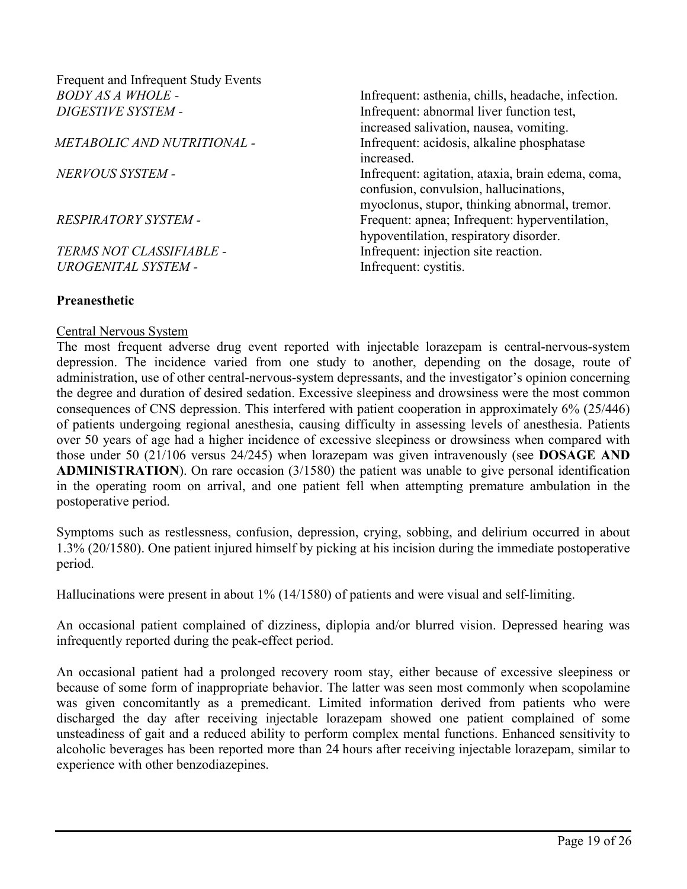Frequent and Infrequent Study Events *BODY AS A WHOLE -* Infrequent: asthenia, chills, headache, infection.

# *UROGENITAL SYSTEM -* Infrequent: cystitis.

*DIGESTIVE SYSTEM* - Infrequent: abnormal liver function test, increased salivation, nausea, vomiting. *METABOLIC AND NUTRITIONAL* - Infrequent: acidosis, alkaline phosphatase increased. *NERVOUS SYSTEM -* Infrequent: agitation, ataxia, brain edema, coma, confusion, convulsion, hallucinations, myoclonus, stupor, thinking abnormal, tremor. *RESPIRATORY SYSTEM* - Frequent: apnea; Infrequent: hyperventilation, hypoventilation, respiratory disorder. *TERMS NOT CLASSIFIABLE* - Infrequent: injection site reaction.

## **Preanesthetic**

#### Central Nervous System

The most frequent adverse drug event reported with injectable lorazepam is central-nervous-system depression. The incidence varied from one study to another, depending on the dosage, route of administration, use of other central-nervous-system depressants, and the investigator's opinion concerning the degree and duration of desired sedation. Excessive sleepiness and drowsiness were the most common consequences of CNS depression. This interfered with patient cooperation in approximately 6% (25/446) of patients undergoing regional anesthesia, causing difficulty in assessing levels of anesthesia. Patients over 50 years of age had a higher incidence of excessive sleepiness or drowsiness when compared with those under 50 (21/106 versus 24/245) when lorazepam was given intravenously (see **DOSAGE AND ADMINISTRATION**). On rare occasion (3/1580) the patient was unable to give personal identification in the operating room on arrival, and one patient fell when attempting premature ambulation in the postoperative period.

Symptoms such as restlessness, confusion, depression, crying, sobbing, and delirium occurred in about 1.3% (20/1580). One patient injured himself by picking at his incision during the immediate postoperative period.

Hallucinations were present in about 1% (14/1580) of patients and were visual and self-limiting.

An occasional patient complained of dizziness, diplopia and/or blurred vision. Depressed hearing was infrequently reported during the peak-effect period.

An occasional patient had a prolonged recovery room stay, either because of excessive sleepiness or because of some form of inappropriate behavior. The latter was seen most commonly when scopolamine was given concomitantly as a premedicant. Limited information derived from patients who were discharged the day after receiving injectable lorazepam showed one patient complained of some unsteadiness of gait and a reduced ability to perform complex mental functions. Enhanced sensitivity to alcoholic beverages has been reported more than 24 hours after receiving injectable lorazepam, similar to experience with other benzodiazepines.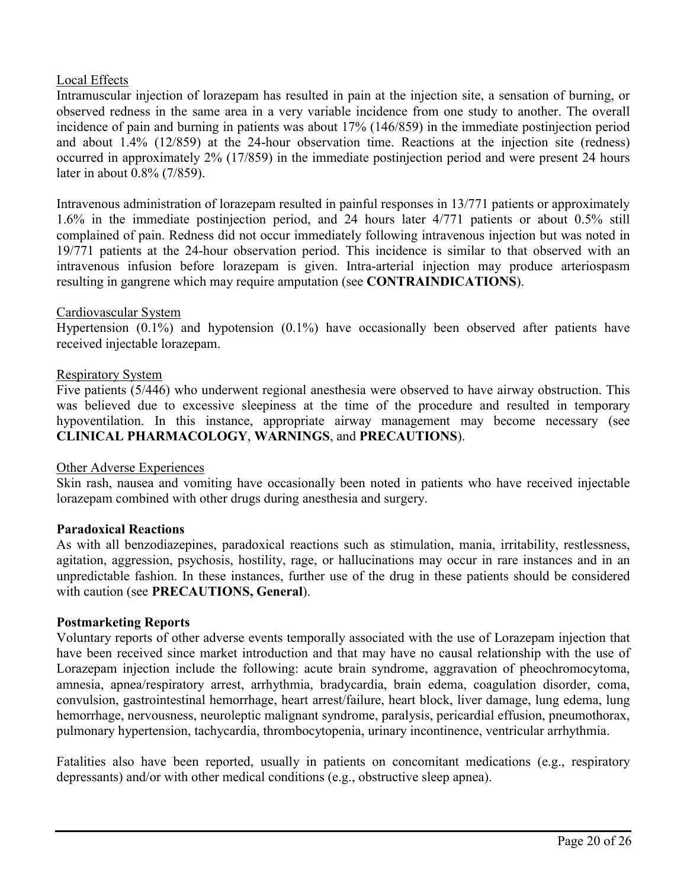# Local Effects

Intramuscular injection of lorazepam has resulted in pain at the injection site, a sensation of burning, or observed redness in the same area in a very variable incidence from one study to another. The overall incidence of pain and burning in patients was about 17% (146/859) in the immediate postinjection period and about 1.4% (12/859) at the 24-hour observation time. Reactions at the injection site (redness) occurred in approximately 2% (17/859) in the immediate postinjection period and were present 24 hours later in about 0.8% (7/859).

Intravenous administration of lorazepam resulted in painful responses in 13/771 patients or approximately 1.6% in the immediate postinjection period, and 24 hours later 4/771 patients or about 0.5% still complained of pain. Redness did not occur immediately following intravenous injection but was noted in 19/771 patients at the 24-hour observation period. This incidence is similar to that observed with an intravenous infusion before lorazepam is given. Intra-arterial injection may produce arteriospasm resulting in gangrene which may require amputation (see **CONTRAINDICATIONS**).

## Cardiovascular System

Hypertension (0.1%) and hypotension (0.1%) have occasionally been observed after patients have received injectable lorazepam.

## Respiratory System

Five patients (5/446) who underwent regional anesthesia were observed to have airway obstruction. This was believed due to excessive sleepiness at the time of the procedure and resulted in temporary hypoventilation. In this instance, appropriate airway management may become necessary (see **CLINICAL PHARMACOLOGY**, **WARNINGS**, and **PRECAUTIONS**).

#### Other Adverse Experiences

Skin rash, nausea and vomiting have occasionally been noted in patients who have received injectable lorazepam combined with other drugs during anesthesia and surgery.

#### **Paradoxical Reactions**

As with all benzodiazepines, paradoxical reactions such as stimulation, mania, irritability, restlessness, agitation, aggression, psychosis, hostility, rage, or hallucinations may occur in rare instances and in an unpredictable fashion. In these instances, further use of the drug in these patients should be considered with caution (see **PRECAUTIONS, General**).

#### **Postmarketing Reports**

Voluntary reports of other adverse events temporally associated with the use of Lorazepam injection that have been received since market introduction and that may have no causal relationship with the use of Lorazepam injection include the following: acute brain syndrome, aggravation of pheochromocytoma, amnesia, apnea/respiratory arrest, arrhythmia, bradycardia, brain edema, coagulation disorder, coma, convulsion, gastrointestinal hemorrhage, heart arrest/failure, heart block, liver damage, lung edema, lung hemorrhage, nervousness, neuroleptic malignant syndrome, paralysis, pericardial effusion, pneumothorax, pulmonary hypertension, tachycardia, thrombocytopenia, urinary incontinence, ventricular arrhythmia.

Fatalities also have been reported, usually in patients on concomitant medications (e.g., respiratory depressants) and/or with other medical conditions (e.g., obstructive sleep apnea).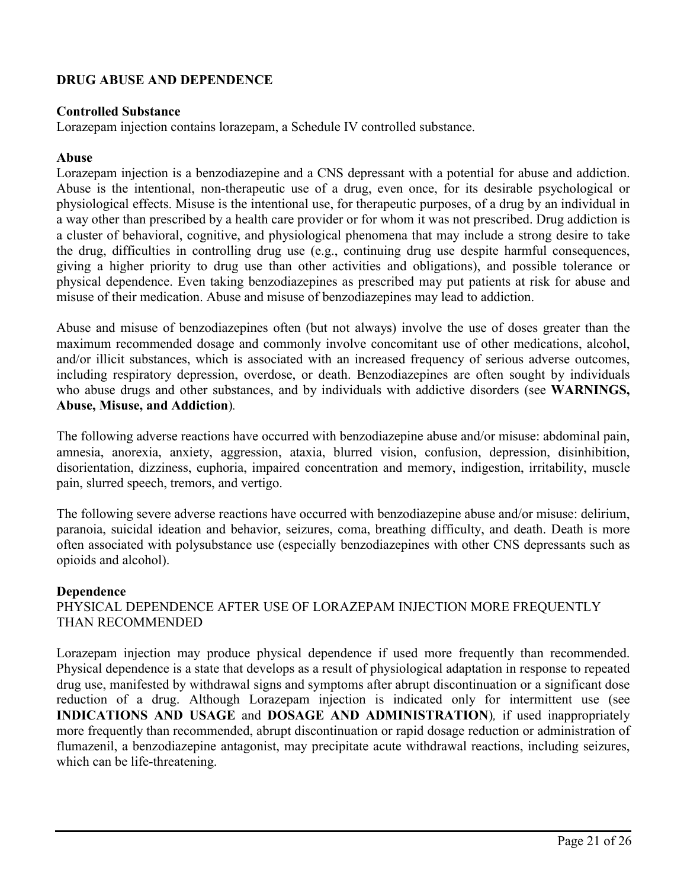# **DRUG ABUSE AND DEPENDENCE**

#### **Controlled Substance**

Lorazepam injection contains lorazepam, a Schedule IV controlled substance.

#### **Abuse**

Lorazepam injection is a benzodiazepine and a CNS depressant with a potential for abuse and addiction. Abuse is the intentional, non-therapeutic use of a drug, even once, for its desirable psychological or physiological effects. Misuse is the intentional use, for therapeutic purposes, of a drug by an individual in a way other than prescribed by a health care provider or for whom it was not prescribed. Drug addiction is a cluster of behavioral, cognitive, and physiological phenomena that may include a strong desire to take the drug, difficulties in controlling drug use (e.g., continuing drug use despite harmful consequences, giving a higher priority to drug use than other activities and obligations), and possible tolerance or physical dependence. Even taking benzodiazepines as prescribed may put patients at risk for abuse and misuse of their medication. Abuse and misuse of benzodiazepines may lead to addiction.

Abuse and misuse of benzodiazepines often (but not always) involve the use of doses greater than the maximum recommended dosage and commonly involve concomitant use of other medications, alcohol, and/or illicit substances, which is associated with an increased frequency of serious adverse outcomes, including respiratory depression, overdose, or death. Benzodiazepines are often sought by individuals who abuse drugs and other substances, and by individuals with addictive disorders (see **WARNINGS, Abuse, Misuse, and Addiction**)*.* 

The following adverse reactions have occurred with benzodiazepine abuse and/or misuse: abdominal pain, amnesia, anorexia, anxiety, aggression, ataxia, blurred vision, confusion, depression, disinhibition, disorientation, dizziness, euphoria, impaired concentration and memory, indigestion, irritability, muscle pain, slurred speech, tremors, and vertigo.

The following severe adverse reactions have occurred with benzodiazepine abuse and/or misuse: delirium, paranoia, suicidal ideation and behavior, seizures, coma, breathing difficulty, and death. Death is more often associated with polysubstance use (especially benzodiazepines with other CNS depressants such as opioids and alcohol).

#### **Dependence**

# PHYSICAL DEPENDENCE AFTER USE OF LORAZEPAM INJECTION MORE FREQUENTLY THAN RECOMMENDED

Lorazepam injection may produce physical dependence if used more frequently than recommended. Physical dependence is a state that develops as a result of physiological adaptation in response to repeated drug use, manifested by withdrawal signs and symptoms after abrupt discontinuation or a significant dose reduction of a drug. Although Lorazepam injection is indicated only for intermittent use (see **INDICATIONS AND USAGE** and **DOSAGE AND ADMINISTRATION**)*,* if used inappropriately more frequently than recommended, abrupt discontinuation or rapid dosage reduction or administration of flumazenil, a benzodiazepine antagonist, may precipitate acute withdrawal reactions, including seizures, which can be life-threatening.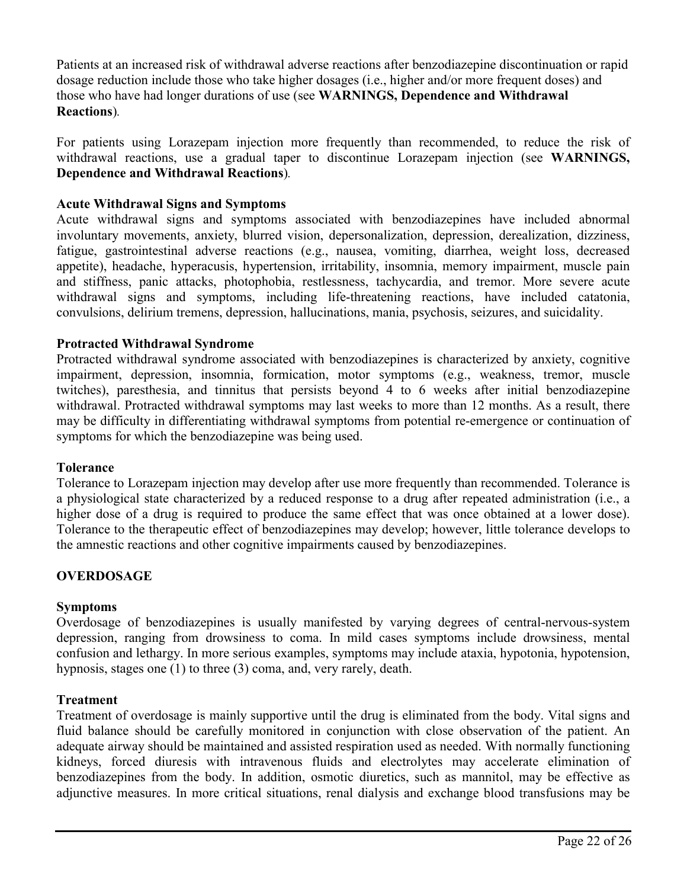Patients at an increased risk of withdrawal adverse reactions after benzodiazepine discontinuation or rapid dosage reduction include those who take higher dosages (i.e., higher and/or more frequent doses) and those who have had longer durations of use (see **WARNINGS, Dependence and Withdrawal Reactions**)*.* 

For patients using Lorazepam injection more frequently than recommended, to reduce the risk of withdrawal reactions, use a gradual taper to discontinue Lorazepam injection (see **WARNINGS, Dependence and Withdrawal Reactions**)*.* 

## **Acute Withdrawal Signs and Symptoms**

Acute withdrawal signs and symptoms associated with benzodiazepines have included abnormal involuntary movements, anxiety, blurred vision, depersonalization, depression, derealization, dizziness, fatigue, gastrointestinal adverse reactions (e.g., nausea, vomiting, diarrhea, weight loss, decreased appetite), headache, hyperacusis, hypertension, irritability, insomnia, memory impairment, muscle pain and stiffness, panic attacks, photophobia, restlessness, tachycardia, and tremor. More severe acute withdrawal signs and symptoms, including life-threatening reactions, have included catatonia, convulsions, delirium tremens, depression, hallucinations, mania, psychosis, seizures, and suicidality.

## **Protracted Withdrawal Syndrome**

Protracted withdrawal syndrome associated with benzodiazepines is characterized by anxiety, cognitive impairment, depression, insomnia, formication, motor symptoms (e.g., weakness, tremor, muscle twitches), paresthesia, and tinnitus that persists beyond 4 to 6 weeks after initial benzodiazepine withdrawal. Protracted withdrawal symptoms may last weeks to more than 12 months. As a result, there may be difficulty in differentiating withdrawal symptoms from potential re-emergence or continuation of symptoms for which the benzodiazepine was being used.

#### **Tolerance**

Tolerance to Lorazepam injection may develop after use more frequently than recommended. Tolerance is a physiological state characterized by a reduced response to a drug after repeated administration (i.e., a higher dose of a drug is required to produce the same effect that was once obtained at a lower dose). Tolerance to the therapeutic effect of benzodiazepines may develop; however, little tolerance develops to the amnestic reactions and other cognitive impairments caused by benzodiazepines.

# **OVERDOSAGE**

#### **Symptoms**

Overdosage of benzodiazepines is usually manifested by varying degrees of central-nervous-system depression, ranging from drowsiness to coma. In mild cases symptoms include drowsiness, mental confusion and lethargy. In more serious examples, symptoms may include ataxia, hypotonia, hypotension, hypnosis, stages one (1) to three (3) coma, and, very rarely, death.

# **Treatment**

Treatment of overdosage is mainly supportive until the drug is eliminated from the body. Vital signs and fluid balance should be carefully monitored in conjunction with close observation of the patient. An adequate airway should be maintained and assisted respiration used as needed. With normally functioning kidneys, forced diuresis with intravenous fluids and electrolytes may accelerate elimination of benzodiazepines from the body. In addition, osmotic diuretics, such as mannitol, may be effective as adjunctive measures. In more critical situations, renal dialysis and exchange blood transfusions may be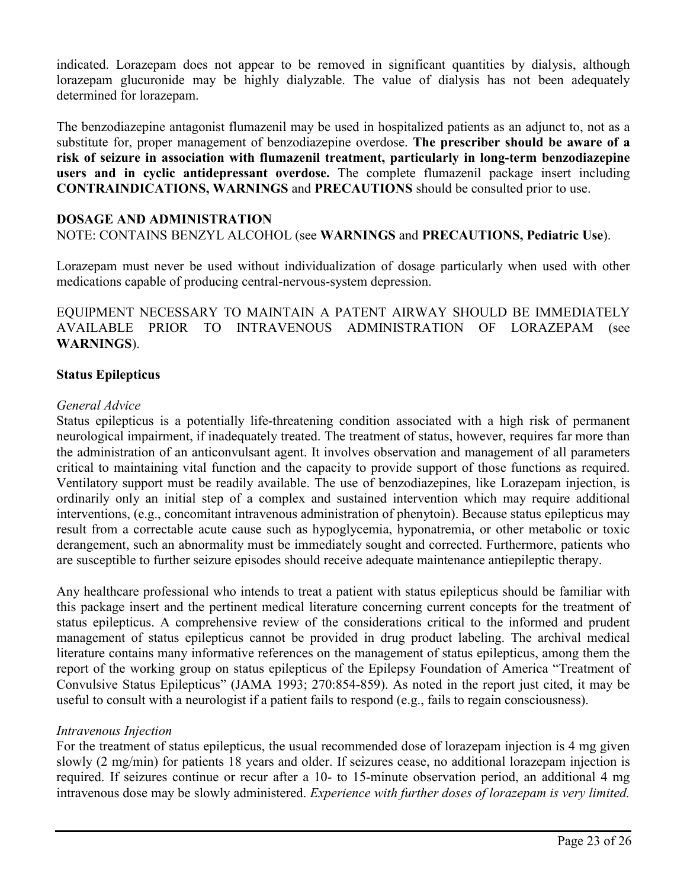indicated. Lorazepam does not appear to be removed in significant quantities by dialysis, although lorazepam glucuronide may be highly dialyzable. The value of dialysis has not been adequately determined for lorazepam.

The benzodiazepine antagonist flumazenil may be used in hospitalized patients as an adjunct to, not as a substitute for, proper management of benzodiazepine overdose. **The prescriber should be aware of a risk of seizure in association with flumazenil treatment, particularly in long-term benzodiazepine users and in cyclic antidepressant overdose.** The complete flumazenil package insert including **CONTRAINDICATIONS, WARNINGS** and **PRECAUTIONS** should be consulted prior to use.

#### **DOSAGE AND ADMINISTRATION**

NOTE: CONTAINS BENZYL ALCOHOL (see **WARNINGS** and **PRECAUTIONS, Pediatric Use**).

Lorazepam must never be used without individualization of dosage particularly when used with other medications capable of producing central-nervous-system depression.

# EQUIPMENT NECESSARY TO MAINTAIN A PATENT AIRWAY SHOULD BE IMMEDIATELY AVAILABLE PRIOR TO INTRAVENOUS ADMINISTRATION OF LORAZEPAM (see **WARNINGS**).

## **Status Epilepticus**

#### *General Advice*

Status epilepticus is a potentially life-threatening condition associated with a high risk of permanent neurological impairment, if inadequately treated. The treatment of status, however, requires far more than the administration of an anticonvulsant agent. It involves observation and management of all parameters critical to maintaining vital function and the capacity to provide support of those functions as required. Ventilatory support must be readily available. The use of benzodiazepines, like Lorazepam injection, is ordinarily only an initial step of a complex and sustained intervention which may require additional interventions, (e.g., concomitant intravenous administration of phenytoin). Because status epilepticus may result from a correctable acute cause such as hypoglycemia, hyponatremia, or other metabolic or toxic derangement, such an abnormality must be immediately sought and corrected. Furthermore, patients who are susceptible to further seizure episodes should receive adequate maintenance antiepileptic therapy.

Any healthcare professional who intends to treat a patient with status epilepticus should be familiar with this package insert and the pertinent medical literature concerning current concepts for the treatment of status epilepticus. A comprehensive review of the considerations critical to the informed and prudent management of status epilepticus cannot be provided in drug product labeling. The archival medical literature contains many informative references on the management of status epilepticus, among them the report of the working group on status epilepticus of the Epilepsy Foundation of America "Treatment of Convulsive Status Epilepticus" (JAMA 1993; 270:854-859). As noted in the report just cited, it may be useful to consult with a neurologist if a patient fails to respond (e.g., fails to regain consciousness).

#### *Intravenous Injection*

For the treatment of status epilepticus, the usual recommended dose of lorazepam injection is 4 mg given slowly (2 mg/min) for patients 18 years and older. If seizures cease, no additional lorazepam injection is required. If seizures continue or recur after a 10- to 15-minute observation period, an additional 4 mg intravenous dose may be slowly administered. *Experience with further doses of lorazepam is very limited.*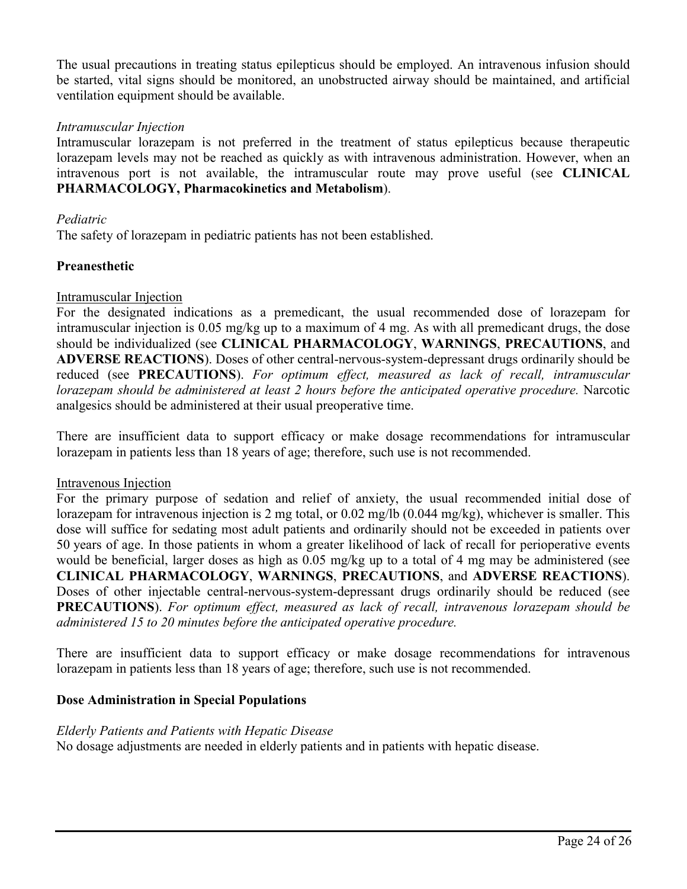The usual precautions in treating status epilepticus should be employed. An intravenous infusion should be started, vital signs should be monitored, an unobstructed airway should be maintained, and artificial ventilation equipment should be available.

## *Intramuscular Injection*

Intramuscular lorazepam is not preferred in the treatment of status epilepticus because therapeutic lorazepam levels may not be reached as quickly as with intravenous administration. However, when an intravenous port is not available, the intramuscular route may prove useful (see **CLINICAL PHARMACOLOGY, Pharmacokinetics and Metabolism**).

#### *Pediatric*

The safety of lorazepam in pediatric patients has not been established.

## **Preanesthetic**

#### Intramuscular Injection

For the designated indications as a premedicant, the usual recommended dose of lorazepam for intramuscular injection is 0.05 mg/kg up to a maximum of 4 mg. As with all premedicant drugs, the dose should be individualized (see **CLINICAL PHARMACOLOGY**, **WARNINGS**, **PRECAUTIONS**, and **ADVERSE REACTIONS**). Doses of other central-nervous-system-depressant drugs ordinarily should be reduced (see **PRECAUTIONS**). *For optimum effect, measured as lack of recall, intramuscular lorazepam should be administered at least 2 hours before the anticipated operative procedure.* Narcotic analgesics should be administered at their usual preoperative time.

There are insufficient data to support efficacy or make dosage recommendations for intramuscular lorazepam in patients less than 18 years of age; therefore, such use is not recommended.

#### Intravenous Injection

For the primary purpose of sedation and relief of anxiety, the usual recommended initial dose of lorazepam for intravenous injection is 2 mg total, or 0.02 mg/lb (0.044 mg/kg), whichever is smaller. This dose will suffice for sedating most adult patients and ordinarily should not be exceeded in patients over 50 years of age. In those patients in whom a greater likelihood of lack of recall for perioperative events would be beneficial, larger doses as high as 0.05 mg/kg up to a total of 4 mg may be administered (see **CLINICAL PHARMACOLOGY**, **WARNINGS**, **PRECAUTIONS**, and **ADVERSE REACTIONS**). Doses of other injectable central-nervous-system-depressant drugs ordinarily should be reduced (see **PRECAUTIONS**). *For optimum effect, measured as lack of recall, intravenous lorazepam should be administered 15 to 20 minutes before the anticipated operative procedure.*

There are insufficient data to support efficacy or make dosage recommendations for intravenous lorazepam in patients less than 18 years of age; therefore, such use is not recommended.

# **Dose Administration in Special Populations**

#### *Elderly Patients and Patients with Hepatic Disease*

No dosage adjustments are needed in elderly patients and in patients with hepatic disease.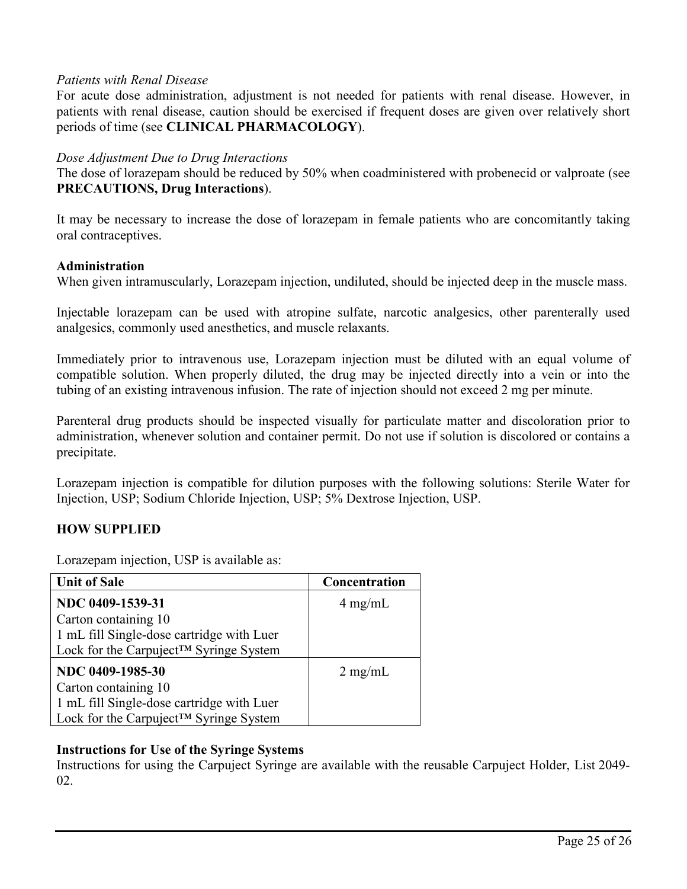#### *Patients with Renal Disease*

For acute dose administration, adjustment is not needed for patients with renal disease. However, in patients with renal disease, caution should be exercised if frequent doses are given over relatively short periods of time (see **CLINICAL PHARMACOLOGY**).

#### *Dose Adjustment Due to Drug Interactions*

The dose of lorazepam should be reduced by 50% when coadministered with probenecid or valproate (see **PRECAUTIONS, Drug Interactions**).

It may be necessary to increase the dose of lorazepam in female patients who are concomitantly taking oral contraceptives.

## **Administration**

When given intramuscularly, Lorazepam injection, undiluted, should be injected deep in the muscle mass.

Injectable lorazepam can be used with atropine sulfate, narcotic analgesics, other parenterally used analgesics, commonly used anesthetics, and muscle relaxants.

Immediately prior to intravenous use, Lorazepam injection must be diluted with an equal volume of compatible solution. When properly diluted, the drug may be injected directly into a vein or into the tubing of an existing intravenous infusion. The rate of injection should not exceed 2 mg per minute.

Parenteral drug products should be inspected visually for particulate matter and discoloration prior to administration, whenever solution and container permit. Do not use if solution is discolored or contains a precipitate.

Lorazepam injection is compatible for dilution purposes with the following solutions: Sterile Water for Injection, USP; Sodium Chloride Injection, USP; 5% Dextrose Injection, USP.

# **HOW SUPPLIED**

Lorazepam injection, USP is available as:

| <b>Unit of Sale</b>                       | Concentration |
|-------------------------------------------|---------------|
| NDC 0409-1539-31                          | $4$ mg/mL     |
| Carton containing 10                      |               |
| 1 mL fill Single-dose cartridge with Luer |               |
| Lock for the Carpuject™ Syringe System    |               |
| NDC 0409-1985-30                          | $2$ mg/mL     |
| Carton containing 10                      |               |
| 1 mL fill Single-dose cartridge with Luer |               |
| Lock for the Carpuject™ Syringe System    |               |

# **Instructions for Use of the Syringe Systems**

Instructions for using the Carpuject Syringe are available with the reusable Carpuject Holder, List 2049- 02.